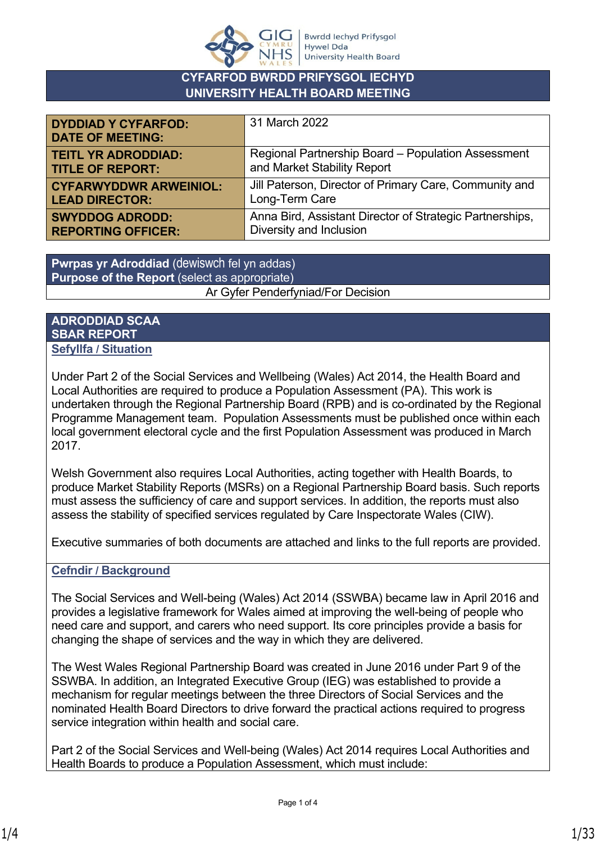

### **CYFARFOD BWRDD PRIFYSGOL IECHYD UNIVERSITY HEALTH BOARD MEETING**

| <b>DYDDIAD Y CYFARFOD:</b><br><b>DATE OF MEETING:</b> | 31 March 2022                                            |
|-------------------------------------------------------|----------------------------------------------------------|
| <b>TEITL YR ADRODDIAD:</b>                            | Regional Partnership Board - Population Assessment       |
| <b>TITLE OF REPORT:</b>                               | and Market Stability Report                              |
| <b>CYFARWYDDWR ARWEINIOL:</b>                         | Jill Paterson, Director of Primary Care, Community and   |
| <b>LEAD DIRECTOR:</b>                                 | Long-Term Care                                           |
| <b>SWYDDOG ADRODD:</b>                                | Anna Bird, Assistant Director of Strategic Partnerships, |
| <b>REPORTING OFFICER:</b>                             | Diversity and Inclusion                                  |

**Pwrpas yr Adroddiad** (dewiswch fel yn addas) **Purpose of the Report** (select as appropriate) Ar Gyfer Penderfyniad/For Decision

#### **ADRODDIAD SCAA SBAR REPORT Sefyllfa / Situation**

Under Part 2 of the Social Services and Wellbeing (Wales) Act 2014, the Health Board and Local Authorities are required to produce a Population Assessment (PA). This work is undertaken through the Regional Partnership Board (RPB) and is co-ordinated by the Regional Programme Management team. Population Assessments must be published once within each local government electoral cycle and the first Population Assessment was produced in March 2017.

Welsh Government also requires Local Authorities, acting together with Health Boards, to produce Market Stability Reports (MSRs) on a Regional Partnership Board basis. Such reports must assess the sufficiency of care and support services. In addition, the reports must also assess the stability of specified services regulated by Care Inspectorate Wales (CIW).

Executive summaries of both documents are attached and links to the full reports are provided.

#### **Cefndir / Background**

The Social Services and Well-being (Wales) Act 2014 (SSWBA) became law in April 2016 and provides a legislative framework for Wales aimed at improving the well-being of people who need care and support, and carers who need support. Its core principles provide a basis for changing the shape of services and the way in which they are delivered.

The West Wales Regional Partnership Board was created in June 2016 under Part 9 of the SSWBA. In addition, an Integrated Executive Group (IEG) was established to provide a mechanism for regular meetings between the three Directors of Social Services and the nominated Health Board Directors to drive forward the practical actions required to progress service integration within health and social care.

Part 2 of the Social Services and Well-being (Wales) Act 2014 requires Local Authorities and Health Boards to produce a Population Assessment, which must include: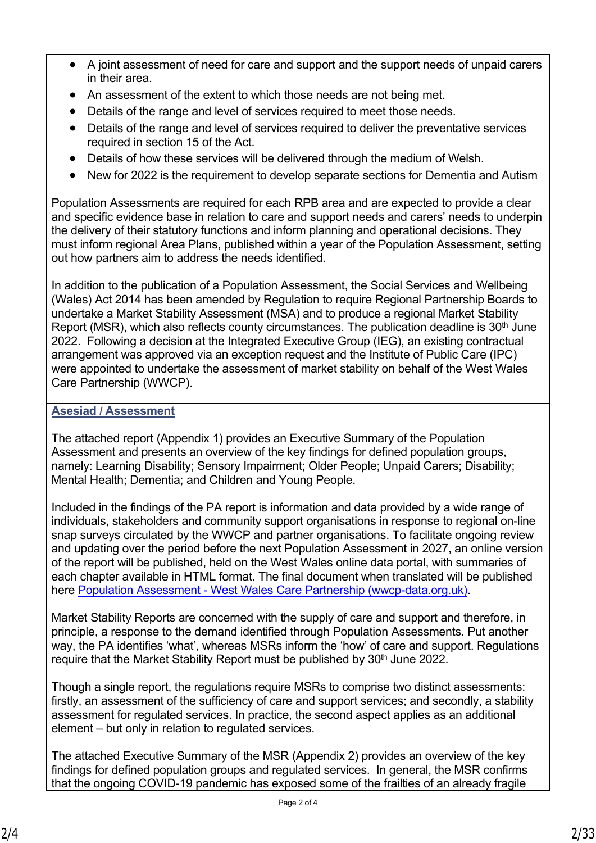- A joint assessment of need for care and support and the support needs of unpaid carers in their area.
- An assessment of the extent to which those needs are not being met.
- Details of the range and level of services required to meet those needs.
- Details of the range and level of services required to deliver the preventative services required in section 15 of the Act.
- Details of how these services will be delivered through the medium of Welsh.
- New for 2022 is the requirement to develop separate sections for Dementia and Autism

Population Assessments are required for each RPB area and are expected to provide a clear and specific evidence base in relation to care and support needs and carers' needs to underpin the delivery of their statutory functions and inform planning and operational decisions. They must inform regional Area Plans, published within a year of the Population Assessment, setting out how partners aim to address the needs identified.

In addition to the publication of a Population Assessment, the Social Services and Wellbeing (Wales) Act 2014 has been amended by Regulation to require Regional Partnership Boards to undertake a Market Stability Assessment (MSA) and to produce a regional Market Stability Report (MSR), which also reflects county circumstances. The publication deadline is  $30<sup>th</sup>$  June 2022. Following a decision at the Integrated Executive Group (IEG), an existing contractual arrangement was approved via an exception request and the Institute of Public Care (IPC) were appointed to undertake the assessment of market stability on behalf of the West Wales Care Partnership (WWCP).

#### **Asesiad / Assessment**

The attached report (Appendix 1) provides an Executive Summary of the Population Assessment and presents an overview of the key findings for defined population groups, namely: Learning Disability; Sensory Impairment; Older People; Unpaid Carers; Disability; Mental Health; Dementia; and Children and Young People.

Included in the findings of the PA report is information and data provided by a wide range of individuals, stakeholders and community support organisations in response to regional on-line snap surveys circulated by the WWCP and partner organisations. To facilitate ongoing review and updating over the period before the next Population Assessment in 2027, an online version of the report will be published, held on the West Wales online data portal, with summaries of each chapter available in HTML format. The final document when translated will be published here [Population Assessment - West Wales Care Partnership \(wwcp-data.org.uk\).](http://www.wwcp-data.org.uk/population-needs-assessment)

Market Stability Reports are concerned with the supply of care and support and therefore, in principle, a response to the demand identified through Population Assessments. Put another way, the PA identifies 'what', whereas MSRs inform the 'how' of care and support. Regulations require that the Market Stability Report must be published by 30<sup>th</sup> June 2022.

Though a single report, the regulations require MSRs to comprise two distinct assessments: firstly, an assessment of the sufficiency of care and support services; and secondly, a stability assessment for regulated services. In practice, the second aspect applies as an additional element – but only in relation to regulated services.

The attached Executive Summary of the MSR (Appendix 2) provides an overview of the key findings for defined population groups and regulated services. In general, the MSR confirms that the ongoing COVID-19 pandemic has exposed some of the frailties of an already fragile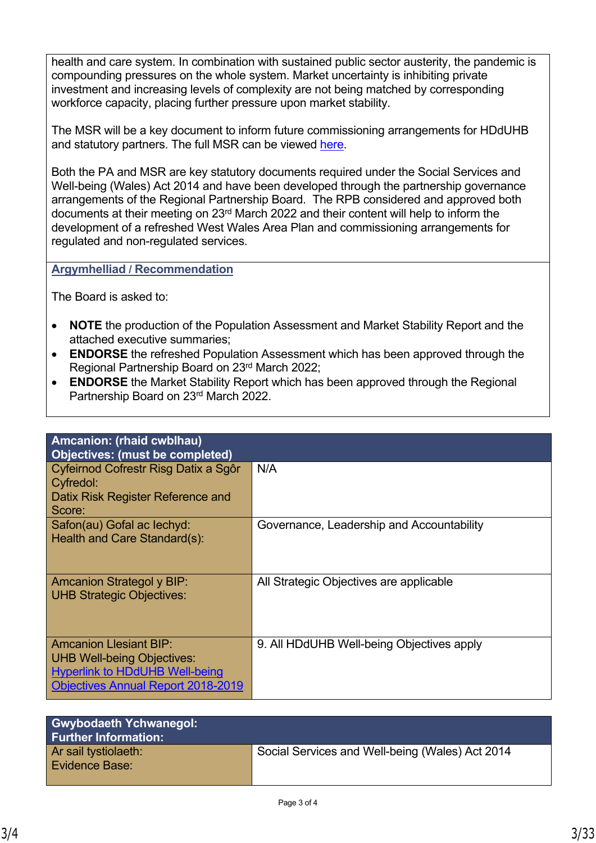health and care system. In combination with sustained public sector austerity, the pandemic is compounding pressures on the whole system. Market uncertainty is inhibiting private investment and increasing levels of complexity are not being matched by corresponding workforce capacity, placing further pressure upon market stability.

The MSR will be a key document to inform future commissioning arrangements for HDdUHB and statutory partners. The full MSR can be viewed [here](https://hduhb.nhs.wales/about-us/your-health-board/board-meetings-2022/board-agenda-and-papers-31-march-2022/agenda-and-papers-31-march-2022/west-wales-care-partnership-market-stability-report/).

Both the PA and MSR are key statutory documents required under the Social Services and Well-being (Wales) Act 2014 and have been developed through the partnership governance arrangements of the Regional Partnership Board. The RPB considered and approved both documents at their meeting on 23rd March 2022 and their content will help to inform the development of a refreshed West Wales Area Plan and commissioning arrangements for regulated and non-regulated services.

**Argymhelliad / Recommendation**

The Board is asked to:

- **NOTE** the production of the Population Assessment and Market Stability Report and the attached executive summaries;
- **ENDORSE** the refreshed Population Assessment which has been approved through the Regional Partnership Board on 23rd March 2022;
- **ENDORSE** the Market Stability Report which has been approved through the Regional Partnership Board on 23rd March 2022.

| Amcanion: (rhaid cwblhau)                 |                                           |
|-------------------------------------------|-------------------------------------------|
| <b>Objectives: (must be completed)</b>    |                                           |
| Cyfeirnod Cofrestr Risg Datix a Sgôr      | N/A                                       |
| Cyfredol:                                 |                                           |
| Datix Risk Register Reference and         |                                           |
|                                           |                                           |
| Score:                                    |                                           |
| Safon(au) Gofal ac lechyd:                | Governance, Leadership and Accountability |
| Health and Care Standard(s):              |                                           |
|                                           |                                           |
|                                           |                                           |
|                                           |                                           |
| <b>Amcanion Strategol y BIP:</b>          | All Strategic Objectives are applicable   |
| <b>UHB Strategic Objectives:</b>          |                                           |
|                                           |                                           |
|                                           |                                           |
|                                           |                                           |
| <b>Amcanion Llesiant BIP:</b>             | 9. All HDdUHB Well-being Objectives apply |
| <b>UHB Well-being Objectives:</b>         |                                           |
| <b>Hyperlink to HDdUHB Well-being</b>     |                                           |
|                                           |                                           |
| <b>Objectives Annual Report 2018-2019</b> |                                           |

| <b>Gwybodaeth Ychwanegol:</b><br><b>Further Information:</b> |                                                 |
|--------------------------------------------------------------|-------------------------------------------------|
| Ar sail tystiolaeth:<br><b>Evidence Base:</b>                | Social Services and Well-being (Wales) Act 2014 |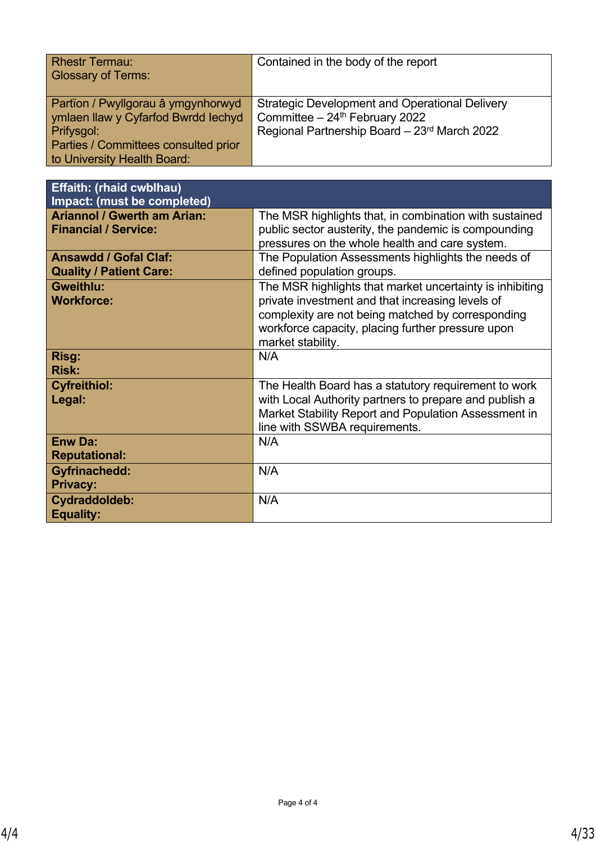| <b>Rhestr Termau:</b><br><b>Glossary of Terms:</b>                                                                                                             | Contained in the body of the report                                                                                              |
|----------------------------------------------------------------------------------------------------------------------------------------------------------------|----------------------------------------------------------------------------------------------------------------------------------|
| Partïon / Pwyllgorau â ymgynhorwyd<br>ymlaen llaw y Cyfarfod Bwrdd Iechyd<br>Prifysgol:<br>Parties / Committees consulted prior<br>to University Health Board: | Strategic Development and Operational Delivery<br>Committee - 24th February 2022<br>Regional Partnership Board - 23rd March 2022 |

| <b>Effaith: (rhaid cwblhau)</b><br>Impact: (must be completed)    |                                                                                                                                                                                                                                             |
|-------------------------------------------------------------------|---------------------------------------------------------------------------------------------------------------------------------------------------------------------------------------------------------------------------------------------|
| <b>Ariannol / Gwerth am Arian:</b><br><b>Financial / Service:</b> | The MSR highlights that, in combination with sustained<br>public sector austerity, the pandemic is compounding<br>pressures on the whole health and care system.                                                                            |
| <b>Ansawdd / Gofal Claf:</b><br><b>Quality / Patient Care:</b>    | The Population Assessments highlights the needs of<br>defined population groups.                                                                                                                                                            |
| <b>Gweithlu:</b><br><b>Workforce:</b>                             | The MSR highlights that market uncertainty is inhibiting<br>private investment and that increasing levels of<br>complexity are not being matched by corresponding<br>workforce capacity, placing further pressure upon<br>market stability. |
| Risg:<br><b>Risk:</b>                                             | N/A                                                                                                                                                                                                                                         |
| <b>Cyfreithiol:</b><br>Legal:                                     | The Health Board has a statutory requirement to work<br>with Local Authority partners to prepare and publish a<br>Market Stability Report and Population Assessment in<br>line with SSWBA requirements.                                     |
| <b>Enw Da:</b><br><b>Reputational:</b>                            | N/A                                                                                                                                                                                                                                         |
| <b>Gyfrinachedd:</b><br><b>Privacy:</b>                           | N/A                                                                                                                                                                                                                                         |
| Cydraddoldeb:<br><b>Equality:</b>                                 | N/A                                                                                                                                                                                                                                         |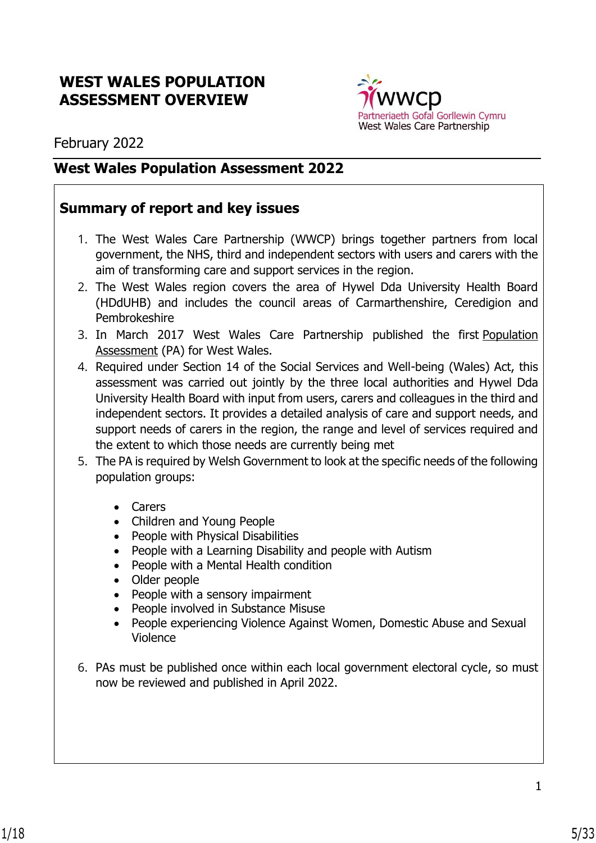# **WEST WALES POPULATION ASSESSMENT OVERVIEW**



February 2022

# **West Wales Population Assessment 2022**

# **Summary of report and key issues**

- 1. The West Wales Care Partnership (WWCP) brings together partners from local government, the NHS, third and independent sectors with users and carers with the aim of transforming care and support services in the region.
- 2. The West Wales region covers the area of Hywel Dda University Health Board (HDdUHB) and includes the council areas of Carmarthenshire, Ceredigion and Pembrokeshire
- 3. In March 2017 West Wales Care Partnership published the first [Population](http://www.wwcp.org.uk/featured-on-home-page/assessing-the-need-for-care-and-support-in-west-wales/)  [Assessment](http://www.wwcp.org.uk/featured-on-home-page/assessing-the-need-for-care-and-support-in-west-wales/) (PA) for West Wales.
- 4. Required under Section 14 of the Social Services and Well-being (Wales) Act, this assessment was carried out jointly by the three local authorities and Hywel Dda University Health Board with input from users, carers and colleagues in the third and independent sectors. It provides a detailed analysis of care and support needs, and support needs of carers in the region, the range and level of services required and the extent to which those needs are currently being met
- 5. The PA is required by Welsh Government to look at the specific needs of the following population groups:
	- Carers
	- Children and Young People
	- People with Physical Disabilities
	- People with a Learning Disability and people with Autism
	- People with a Mental Health condition
	- Older people
	- People with a sensory impairment
	- People involved in Substance Misuse
	- People experiencing Violence Against Women, Domestic Abuse and Sexual Violence
- 6. PAs must be published once within each local government electoral cycle, so must now be reviewed and published in April 2022.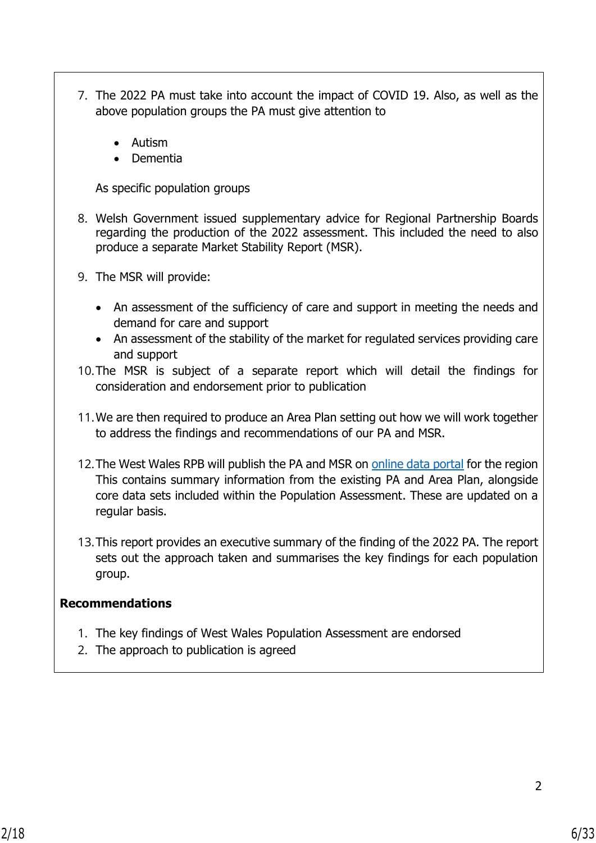- 7. The 2022 PA must take into account the impact of COVID 19. Also, as well as the above population groups the PA must give attention to
	- Autism
	- Dementia

As specific population groups

- 8. Welsh Government issued supplementary advice for Regional Partnership Boards regarding the production of the 2022 assessment. This included the need to also produce a separate Market Stability Report (MSR).
- 9. The MSR will provide:
	- An assessment of the sufficiency of care and support in meeting the needs and demand for care and support
	- An assessment of the stability of the market for regulated services providing care and support
- 10.The MSR is subject of a separate report which will detail the findings for consideration and endorsement prior to publication
- 11.We are then required to produce an Area Plan setting out how we will work together to address the findings and recommendations of our PA and MSR.
- 12. The West Wales RPB will publish the PA and MSR on [online data portal](http://www.wwcp-data.org.uk/) for the region This contains summary information from the existing PA and Area Plan, alongside core data sets included within the Population Assessment. These are updated on a regular basis.
- 13.This report provides an executive summary of the finding of the 2022 PA. The report sets out the approach taken and summarises the key findings for each population group.

# **Recommendations**

- 1. The key findings of West Wales Population Assessment are endorsed
- 2. The approach to publication is agreed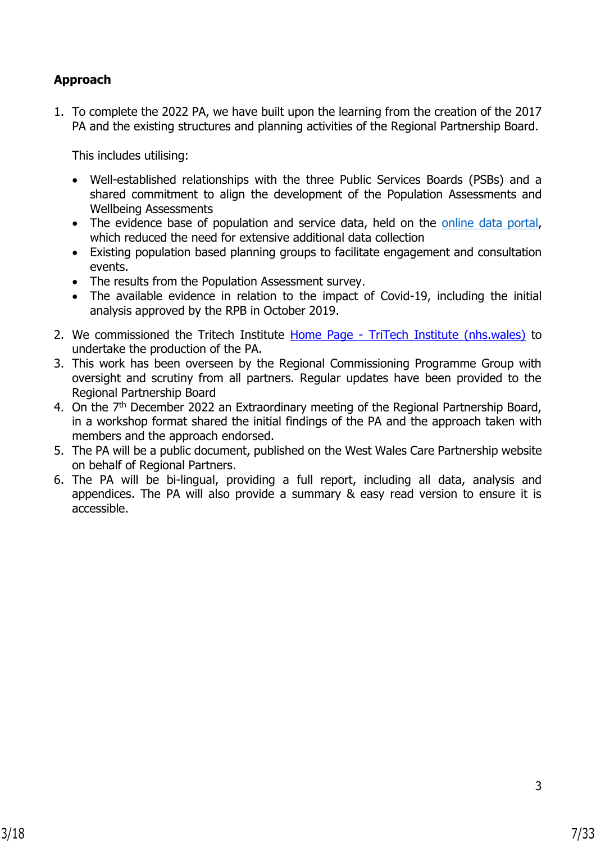# **Approach**

1. To complete the 2022 PA, we have built upon the learning from the creation of the 2017 PA and the existing structures and planning activities of the Regional Partnership Board.

This includes utilising:

- Well-established relationships with the three Public Services Boards (PSBs) and a shared commitment to align the development of the Population Assessments and Wellbeing Assessments
- The evidence base of population and service data, held on the [online data portal,](http://www.wwcp-data.org.uk/) which reduced the need for extensive additional data collection
- Existing population based planning groups to facilitate engagement and consultation events.
- The results from the Population Assessment survey.
- The available evidence in relation to the impact of Covid-19, including the initial analysis approved by the RPB in October 2019.
- 2. We commissioned the Tritech Institute Home Page [TriTech Institute \(nhs.wales\)](https://tritech.nhs.wales/) to undertake the production of the PA.
- 3. This work has been overseen by the Regional Commissioning Programme Group with oversight and scrutiny from all partners. Regular updates have been provided to the Regional Partnership Board
- 4. On the 7<sup>th</sup> December 2022 an Extraordinary meeting of the Regional Partnership Board, in a workshop format shared the initial findings of the PA and the approach taken with members and the approach endorsed.
- 5. The PA will be a public document, published on the West Wales Care Partnership website on behalf of Regional Partners.
- 6. The PA will be bi-lingual, providing a full report, including all data, analysis and appendices. The PA will also provide a summary & easy read version to ensure it is accessible.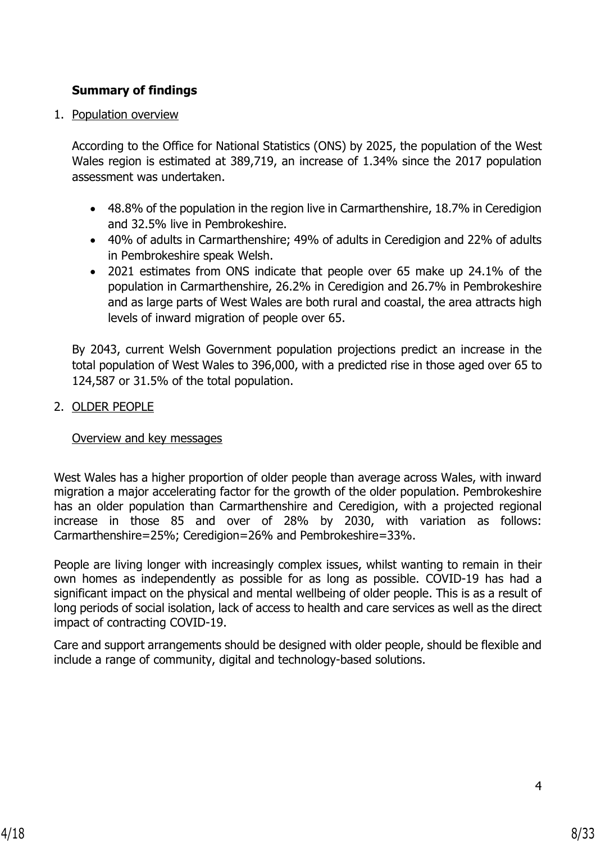# **Summary of findings**

1. Population overview

According to the Office for National Statistics (ONS) by 2025, the population of the West Wales region is estimated at 389,719, an increase of 1.34% since the 2017 population assessment was undertaken.

- 48.8% of the population in the region live in Carmarthenshire, 18.7% in Ceredigion and 32.5% live in Pembrokeshire.
- 40% of adults in Carmarthenshire; 49% of adults in Ceredigion and 22% of adults in Pembrokeshire speak Welsh.
- 2021 estimates from ONS indicate that people over 65 make up 24.1% of the population in Carmarthenshire, 26.2% in Ceredigion and 26.7% in Pembrokeshire and as large parts of West Wales are both rural and coastal, the area attracts high levels of inward migration of people over 65.

By 2043, current Welsh Government population projections predict an increase in the total population of West Wales to 396,000, with a predicted rise in those aged over 65 to 124,587 or 31.5% of the total population.

## 2. OLDER PEOPLE

Overview and key messages

West Wales has a higher proportion of older people than average across Wales, with inward migration a major accelerating factor for the growth of the older population. Pembrokeshire has an older population than Carmarthenshire and Ceredigion, with a projected regional increase in those 85 and over of 28% by 2030, with variation as follows: Carmarthenshire=25%; Ceredigion=26% and Pembrokeshire=33%.

People are living longer with increasingly complex issues, whilst wanting to remain in their own homes as independently as possible for as long as possible. COVID-19 has had a significant impact on the physical and mental wellbeing of older people. This is as a result of long periods of social isolation, lack of access to health and care services as well as the direct impact of contracting COVID-19.

Care and support arrangements should be designed with older people, should be flexible and include a range of community, digital and technology-based solutions.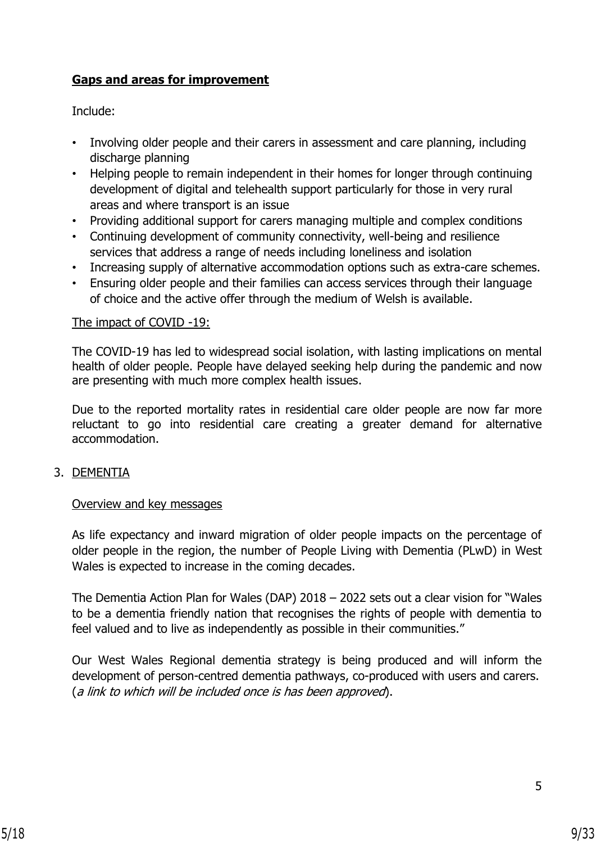# **Gaps and areas for improvement**

Include:

- Involving older people and their carers in assessment and care planning, including discharge planning
- Helping people to remain independent in their homes for longer through continuing development of digital and telehealth support particularly for those in very rural areas and where transport is an issue
- Providing additional support for carers managing multiple and complex conditions
- Continuing development of community connectivity, well-being and resilience services that address a range of needs including loneliness and isolation
- Increasing supply of alternative accommodation options such as extra-care schemes.
- Ensuring older people and their families can access services through their language of choice and the active offer through the medium of Welsh is available.

#### The impact of COVID -19:

The COVID-19 has led to widespread social isolation, with lasting implications on mental health of older people. People have delayed seeking help during the pandemic and now are presenting with much more complex health issues.

Due to the reported mortality rates in residential care older people are now far more reluctant to go into residential care creating a greater demand for alternative accommodation.

#### 3. DEMENTIA

#### Overview and key messages

As life expectancy and inward migration of older people impacts on the percentage of older people in the region, the number of People Living with Dementia (PLwD) in West Wales is expected to increase in the coming decades.

The Dementia Action Plan for Wales (DAP) 2018 – 2022 sets out a clear vision for "Wales to be a dementia friendly nation that recognises the rights of people with dementia to feel valued and to live as independently as possible in their communities."

Our West Wales Regional dementia strategy is being produced and will inform the development of person-centred dementia pathways, co-produced with users and carers. (a link to which will be included once is has been approved).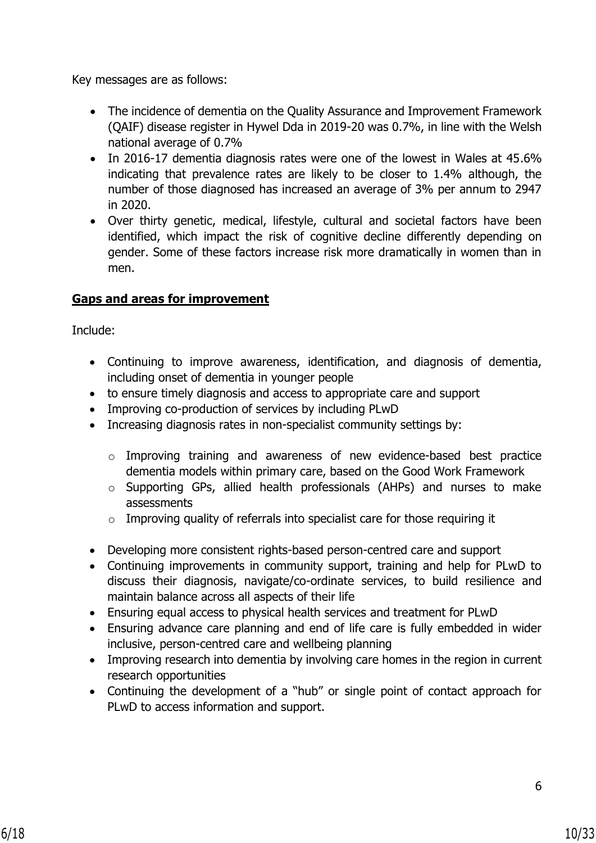Key messages are as follows:

- The incidence of dementia on the Quality Assurance and Improvement Framework (QAIF) disease register in Hywel Dda in 2019-20 was 0.7%, in line with the Welsh national average of 0.7%
- In 2016-17 dementia diagnosis rates were one of the lowest in Wales at 45.6% indicating that prevalence rates are likely to be closer to 1.4% although, the number of those diagnosed has increased an average of 3% per annum to 2947 in 2020.
- Over thirty genetic, medical, lifestyle, cultural and societal factors have been identified, which impact the risk of cognitive decline differently depending on gender. Some of these factors increase risk more dramatically in women than in men.

# **Gaps and areas for improvement**

Include:

- Continuing to improve awareness, identification, and diagnosis of dementia, including onset of dementia in younger people
- to ensure timely diagnosis and access to appropriate care and support
- Improving co-production of services by including PLwD
- Increasing diagnosis rates in non-specialist community settings by:
	- o Improving training and awareness of new evidence-based best practice dementia models within primary care, based on the Good Work Framework
	- o Supporting GPs, allied health professionals (AHPs) and nurses to make assessments
	- $\circ$  Improving quality of referrals into specialist care for those requiring it
- Developing more consistent rights-based person-centred care and support
- Continuing improvements in community support, training and help for PLwD to discuss their diagnosis, navigate/co-ordinate services, to build resilience and maintain balance across all aspects of their life
- Ensuring equal access to physical health services and treatment for PLwD
- Ensuring advance care planning and end of life care is fully embedded in wider inclusive, person-centred care and wellbeing planning
- Improving research into dementia by involving care homes in the region in current research opportunities
- Continuing the development of a "hub" or single point of contact approach for PLwD to access information and support.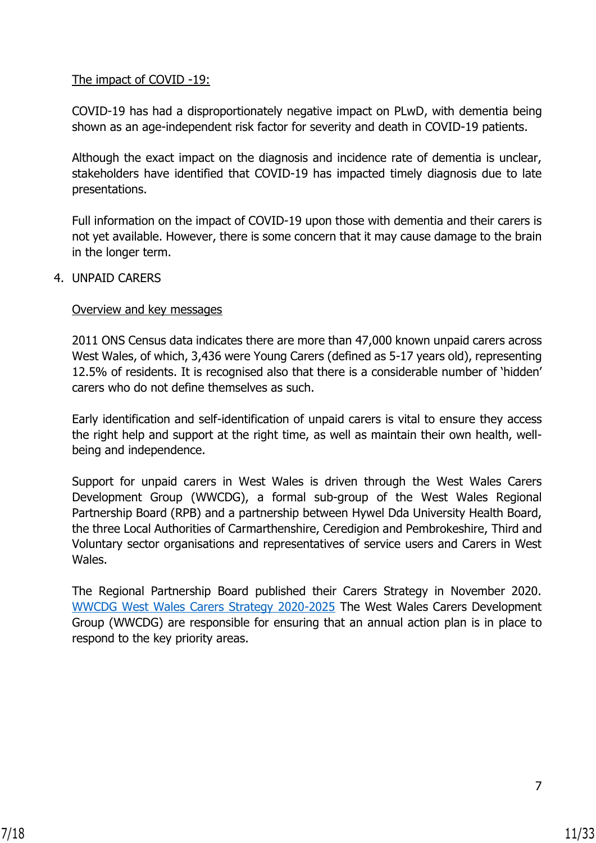### The impact of COVID -19:

COVID-19 has had a disproportionately negative impact on PLwD, with dementia being shown as an age-independent risk factor for severity and death in COVID-19 patients.

Although the exact impact on the diagnosis and incidence rate of dementia is unclear, stakeholders have identified that COVID-19 has impacted timely diagnosis due to late presentations.

Full information on the impact of COVID-19 upon those with dementia and their carers is not yet available. However, there is some concern that it may cause damage to the brain in the longer term.

#### 4. UNPAID CARERS

#### Overview and key messages

2011 ONS Census data indicates there are more than 47,000 known unpaid carers across West Wales, of which, 3,436 were Young Carers (defined as 5-17 years old), representing 12.5% of residents. It is recognised also that there is a considerable number of 'hidden' carers who do not define themselves as such.

Early identification and self-identification of unpaid carers is vital to ensure they access the right help and support at the right time, as well as maintain their own health, wellbeing and independence.

Support for unpaid carers in West Wales is driven through the West Wales Carers Development Group (WWCDG), a formal sub-group of the West Wales Regional Partnership Board (RPB) and a partnership between Hywel Dda University Health Board, the three Local Authorities of Carmarthenshire, Ceredigion and Pembrokeshire, Third and Voluntary sector organisations and representatives of service users and Carers in West Wales.

The Regional Partnership Board published their Carers Strategy in November 2020. [WWCDG West Wales Carers Strategy 2020-2025](https://www.wwcp.org.uk/wp-content/uploads/2020/11/Carers-Strategy-Final-20.10.20-Eng.pdf) The West Wales Carers Development Group (WWCDG) are responsible for ensuring that an annual action plan is in place to respond to the key priority areas.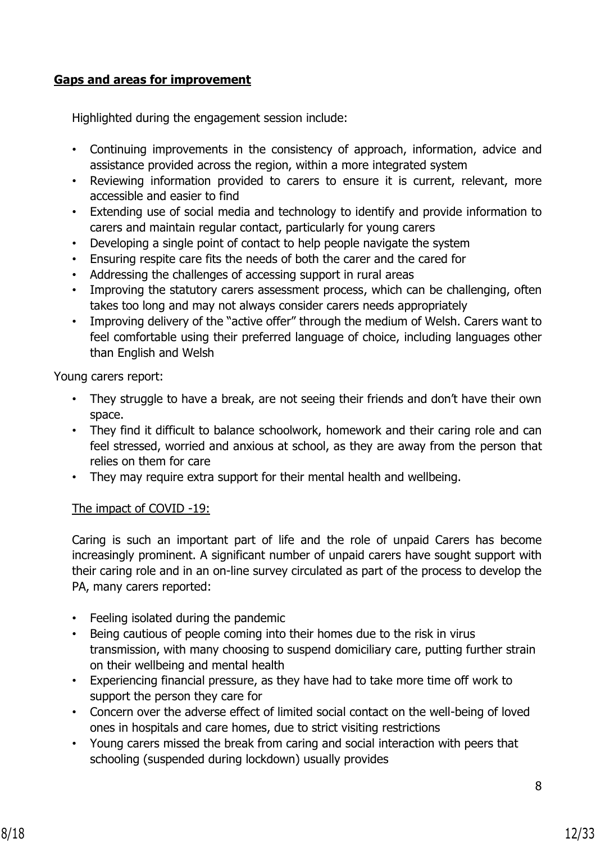## **Gaps and areas for improvement**

Highlighted during the engagement session include:

- Continuing improvements in the consistency of approach, information, advice and assistance provided across the region, within a more integrated system
- Reviewing information provided to carers to ensure it is current, relevant, more accessible and easier to find
- Extending use of social media and technology to identify and provide information to carers and maintain regular contact, particularly for young carers
- Developing a single point of contact to help people navigate the system
- Ensuring respite care fits the needs of both the carer and the cared for
- Addressing the challenges of accessing support in rural areas
- Improving the statutory carers assessment process, which can be challenging, often takes too long and may not always consider carers needs appropriately
- Improving delivery of the "active offer" through the medium of Welsh. Carers want to feel comfortable using their preferred language of choice, including languages other than English and Welsh

Young carers report:

- They struggle to have a break, are not seeing their friends and don't have their own space.
- They find it difficult to balance schoolwork, homework and their caring role and can feel stressed, worried and anxious at school, as they are away from the person that relies on them for care
- They may require extra support for their mental health and wellbeing.

#### The impact of COVID -19:

Caring is such an important part of life and the role of unpaid Carers has become increasingly prominent. A significant number of unpaid carers have sought support with their caring role and in an on-line survey circulated as part of the process to develop the PA, many carers reported:

- Feeling isolated during the pandemic
- Being cautious of people coming into their homes due to the risk in virus transmission, with many choosing to suspend domiciliary care, putting further strain on their wellbeing and mental health
- Experiencing financial pressure, as they have had to take more time off work to support the person they care for
- Concern over the adverse effect of limited social contact on the well-being of loved ones in hospitals and care homes, due to strict visiting restrictions
- Young carers missed the break from caring and social interaction with peers that schooling (suspended during lockdown) usually provides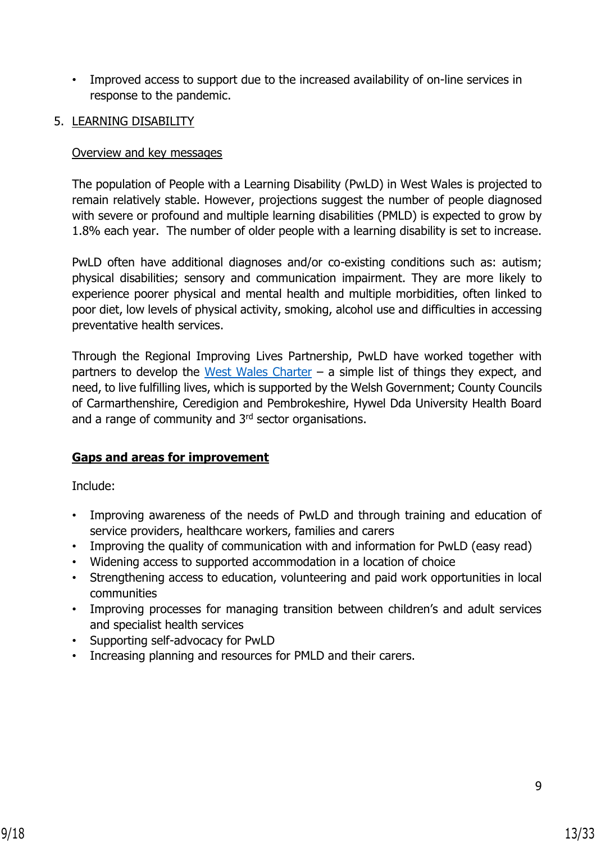- Improved access to support due to the increased availability of on-line services in response to the pandemic.
- 5. LEARNING DISABILITY

## Overview and key messages

The population of People with a Learning Disability (PwLD) in West Wales is projected to remain relatively stable. However, projections suggest the number of people diagnosed with severe or profound and multiple learning disabilities (PMLD) is expected to grow by 1.8% each year. The number of older people with a learning disability is set to increase.

PwLD often have additional diagnoses and/or co-existing conditions such as: autism; physical disabilities; sensory and communication impairment. They are more likely to experience poorer physical and mental health and multiple morbidities, often linked to poor diet, low levels of physical activity, smoking, alcohol use and difficulties in accessing preventative health services.

Through the Regional Improving Lives Partnership, PwLD have worked together with partners to develop the [West Wales Charter](https://www.ldcharter.com/) – a simple list of things they expect, and need, to live fulfilling lives, which is supported by the Welsh Government; County Councils of Carmarthenshire, Ceredigion and Pembrokeshire, Hywel Dda University Health Board and a range of community and 3<sup>rd</sup> sector organisations.

# **Gaps and areas for improvement**

Include:

- Improving awareness of the needs of PwLD and through training and education of service providers, healthcare workers, families and carers
- Improving the quality of communication with and information for PwLD (easy read)
- Widening access to supported accommodation in a location of choice
- Strengthening access to education, volunteering and paid work opportunities in local communities
- Improving processes for managing transition between children's and adult services and specialist health services
- Supporting self-advocacy for PwLD
- Increasing planning and resources for PMLD and their carers.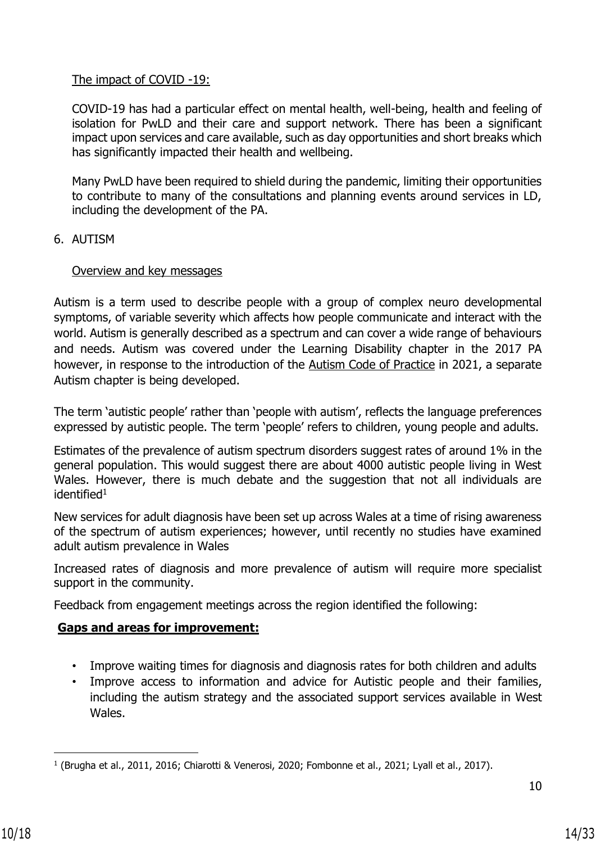#### The impact of COVID -19:

COVID-19 has had a particular effect on mental health, well-being, health and feeling of isolation for PwLD and their care and support network. There has been a significant impact upon services and care available, such as day opportunities and short breaks which has significantly impacted their health and wellbeing.

Many PwLD have been required to shield during the pandemic, limiting their opportunities to contribute to many of the consultations and planning events around services in LD, including the development of the PA.

#### 6. AUTISM

#### Overview and key messages

Autism is a term used to describe people with a group of complex neuro developmental symptoms, of variable severity which affects how people communicate and interact with the world. Autism is generally described as a spectrum and can cover a wide range of behaviours and needs. Autism was covered under the Learning Disability chapter in the 2017 PA however, in response to the introduction of the [Autism Code of Practice](https://gov.wales/new-code-practice-delivery-autism-services-published) in 2021, a separate Autism chapter is being developed.

The term 'autistic people' rather than 'people with autism', reflects the language preferences expressed by autistic people. The term 'people' refers to children, young people and adults.

Estimates of the prevalence of autism spectrum disorders suggest rates of around 1% in the general population. This would suggest there are about 4000 autistic people living in West Wales. However, there is much debate and the suggestion that not all individuals are  $identified<sup>1</sup>$ 

New services for adult diagnosis have been set up across Wales at a time of rising awareness of the spectrum of autism experiences; however, until recently no studies have examined adult autism prevalence in Wales

Increased rates of diagnosis and more prevalence of autism will require more specialist support in the community.

Feedback from engagement meetings across the region identified the following:

# **Gaps and areas for improvement:**

- Improve waiting times for diagnosis and diagnosis rates for both children and adults
- Improve access to information and advice for Autistic people and their families, including the autism strategy and the associated support services available in West Wales.

<sup>1</sup> (Brugha et al., 2011, 2016; Chiarotti & Venerosi, 2020; Fombonne et al., 2021; Lyall et al., 2017).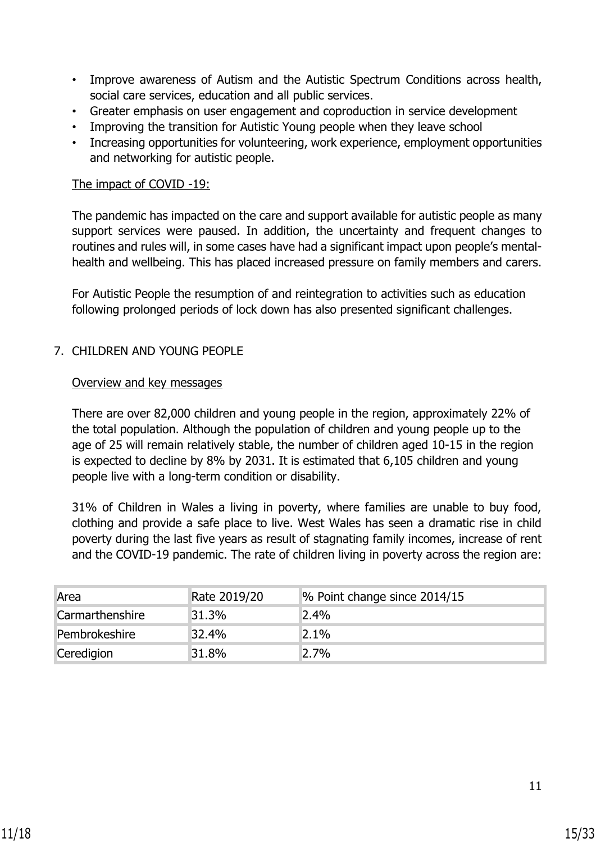- Improve awareness of Autism and the Autistic Spectrum Conditions across health, social care services, education and all public services.
- Greater emphasis on user engagement and coproduction in service development
- Improving the transition for Autistic Young people when they leave school
- Increasing opportunities for volunteering, work experience, employment opportunities and networking for autistic people.

#### The impact of COVID -19:

The pandemic has impacted on the care and support available for autistic people as many support services were paused. In addition, the uncertainty and frequent changes to routines and rules will, in some cases have had a significant impact upon people's mentalhealth and wellbeing. This has placed increased pressure on family members and carers.

For Autistic People the resumption of and reintegration to activities such as education following prolonged periods of lock down has also presented significant challenges.

#### 7. CHILDREN AND YOUNG PEOPLE

#### Overview and key messages

There are over 82,000 children and young people in the region, approximately 22% of the total population. Although the population of children and young people up to the age of 25 will remain relatively stable, the number of children aged 10-15 in the region is expected to decline by 8% by 2031. It is estimated that 6,105 children and young people live with a long-term condition or disability.

31% of Children in Wales a living in poverty, where families are unable to buy food, clothing and provide a safe place to live. West Wales has seen a dramatic rise in child poverty during the last five years as result of stagnating family incomes, increase of rent and the COVID-19 pandemic. The rate of children living in poverty across the region are:

| Area                   | Rate 2019/20 | % Point change since 2014/15 |
|------------------------|--------------|------------------------------|
| <b>Carmarthenshire</b> | 31.3%        | 2.4%                         |
| Pembrokeshire          | 32.4%        | 2.1%                         |
| Ceredigion             | 31.8%        | 2.7%                         |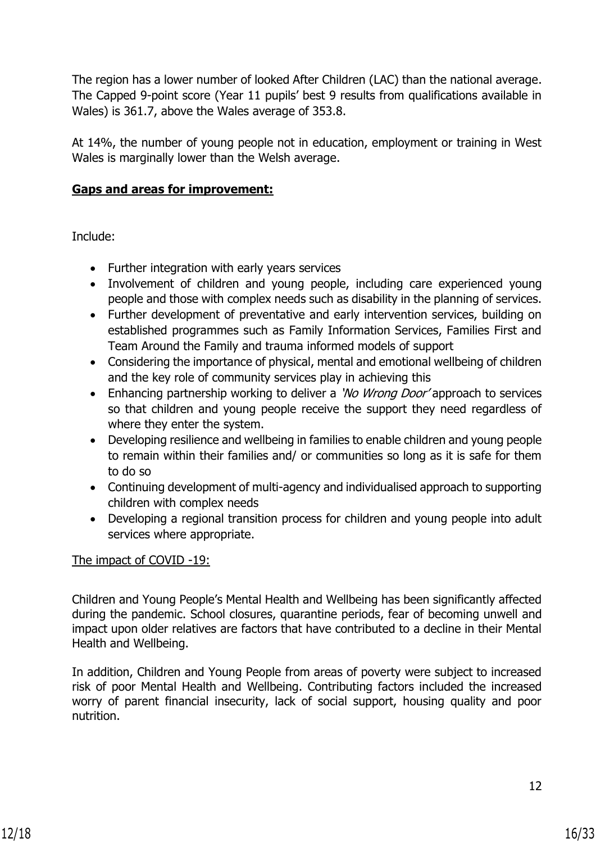The region has a lower number of looked After Children (LAC) than the national average. The Capped 9-point score (Year 11 pupils' best 9 results from qualifications available in Wales) is 361.7, above the Wales average of 353.8.

At 14%, the number of young people not in education, employment or training in West Wales is marginally lower than the Welsh average.

## **Gaps and areas for improvement:**

Include:

- Further integration with early years services
- Involvement of children and young people, including care experienced young people and those with complex needs such as disability in the planning of services.
- Further development of preventative and early intervention services, building on established programmes such as Family Information Services, Families First and Team Around the Family and trauma informed models of support
- Considering the importance of physical, mental and emotional wellbeing of children and the key role of community services play in achieving this
- Enhancing partnership working to deliver a 'No Wrong Door' approach to services so that children and young people receive the support they need regardless of where they enter the system.
- Developing resilience and wellbeing in families to enable children and young people to remain within their families and/ or communities so long as it is safe for them to do so
- Continuing development of multi-agency and individualised approach to supporting children with complex needs
- Developing a regional transition process for children and young people into adult services where appropriate.

#### The impact of COVID -19:

Children and Young People's Mental Health and Wellbeing has been significantly affected during the pandemic. School closures, quarantine periods, fear of becoming unwell and impact upon older relatives are factors that have contributed to a decline in their Mental Health and Wellbeing.

In addition, Children and Young People from areas of poverty were subject to increased risk of poor Mental Health and Wellbeing. Contributing factors included the increased worry of parent financial insecurity, lack of social support, housing quality and poor nutrition.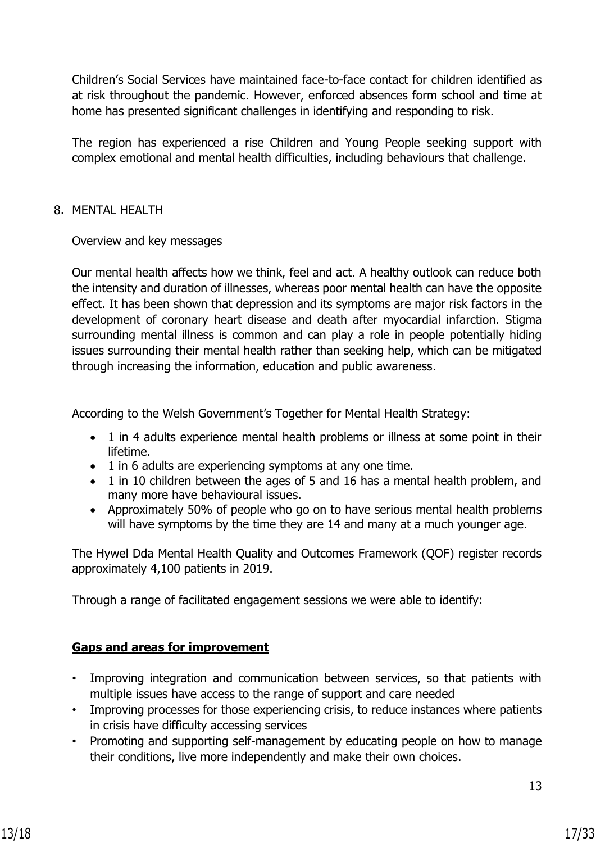Children's Social Services have maintained face-to-face contact for children identified as at risk throughout the pandemic. However, enforced absences form school and time at home has presented significant challenges in identifying and responding to risk.

The region has experienced a rise Children and Young People seeking support with complex emotional and mental health difficulties, including behaviours that challenge.

## 8. MENTAL HEALTH

## Overview and key messages

Our mental health affects how we think, feel and act. A healthy outlook can reduce both the intensity and duration of illnesses, whereas poor mental health can have the opposite effect. It has been shown that depression and its symptoms are major risk factors in the development of coronary heart disease and death after myocardial infarction. Stigma surrounding mental illness is common and can play a role in people potentially hiding issues surrounding their mental health rather than seeking help, which can be mitigated through increasing the information, education and public awareness.

According to the Welsh Government's Together for Mental Health Strategy:

- 1 in 4 adults experience mental health problems or illness at some point in their lifetime.
- 1 in 6 adults are experiencing symptoms at any one time.
- 1 in 10 children between the ages of 5 and 16 has a mental health problem, and many more have behavioural issues.
- Approximately 50% of people who go on to have serious mental health problems will have symptoms by the time they are 14 and many at a much younger age.

The Hywel Dda Mental Health Quality and Outcomes Framework (QOF) register records approximately 4,100 patients in 2019.

Through a range of facilitated engagement sessions we were able to identify:

# **Gaps and areas for improvement**

- Improving integration and communication between services, so that patients with multiple issues have access to the range of support and care needed
- Improving processes for those experiencing crisis, to reduce instances where patients in crisis have difficulty accessing services
- Promoting and supporting self-management by educating people on how to manage their conditions, live more independently and make their own choices.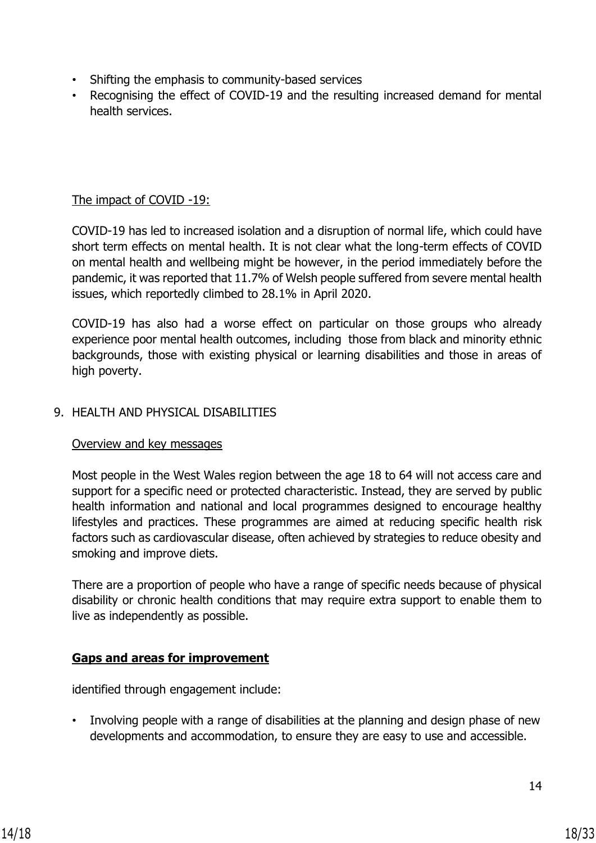- Shifting the emphasis to community-based services
- Recognising the effect of COVID-19 and the resulting increased demand for mental health services.

# The impact of COVID -19:

COVID-19 has led to increased isolation and a disruption of normal life, which could have short term effects on mental health. It is not clear what the long-term effects of COVID on mental health and wellbeing might be however, in the period immediately before the pandemic, it was reported that 11.7% of Welsh people suffered from severe mental health issues, which reportedly climbed to 28.1% in April 2020.

COVID-19 has also had a worse effect on particular on those groups who already experience poor mental health outcomes, including those from black and minority ethnic backgrounds, those with existing physical or learning disabilities and those in areas of high poverty.

#### 9. HEALTH AND PHYSICAL DISABILITIES

#### Overview and key messages

Most people in the West Wales region between the age 18 to 64 will not access care and support for a specific need or protected characteristic. Instead, they are served by public health information and national and local programmes designed to encourage healthy lifestyles and practices. These programmes are aimed at reducing specific health risk factors such as cardiovascular disease, often achieved by strategies to reduce obesity and smoking and improve diets.

There are a proportion of people who have a range of specific needs because of physical disability or chronic health conditions that may require extra support to enable them to live as independently as possible.

# **Gaps and areas for improvement**

identified through engagement include:

• Involving people with a range of disabilities at the planning and design phase of new developments and accommodation, to ensure they are easy to use and accessible.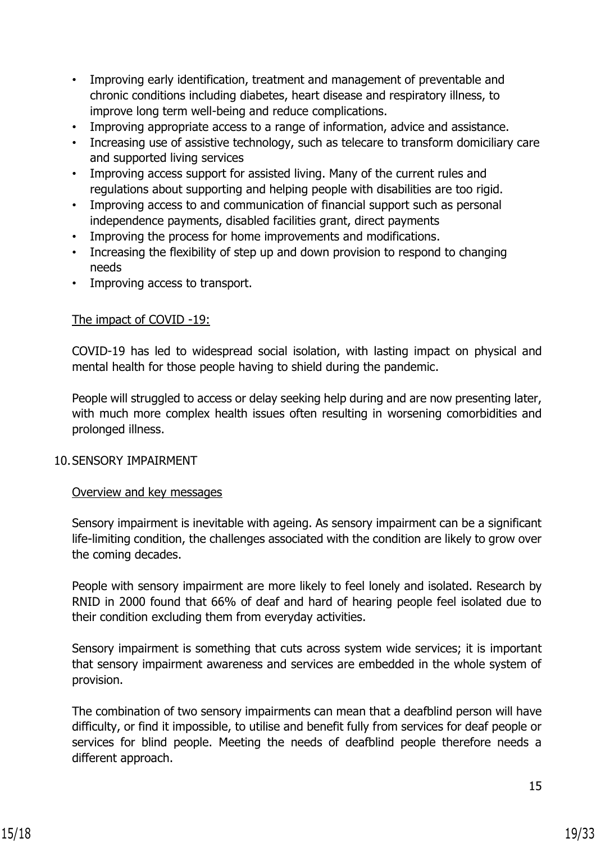- Improving early identification, treatment and management of preventable and chronic conditions including diabetes, heart disease and respiratory illness, to improve long term well-being and reduce complications.
- Improving appropriate access to a range of information, advice and assistance.
- Increasing use of assistive technology, such as telecare to transform domiciliary care and supported living services
- Improving access support for assisted living. Many of the current rules and regulations about supporting and helping people with disabilities are too rigid.
- Improving access to and communication of financial support such as personal independence payments, disabled facilities grant, direct payments
- Improving the process for home improvements and modifications.
- Increasing the flexibility of step up and down provision to respond to changing needs
- Improving access to transport.

#### The impact of COVID -19:

COVID-19 has led to widespread social isolation, with lasting impact on physical and mental health for those people having to shield during the pandemic.

People will struggled to access or delay seeking help during and are now presenting later, with much more complex health issues often resulting in worsening comorbidities and prolonged illness.

#### 10.SENSORY IMPAIRMENT

#### Overview and key messages

Sensory impairment is inevitable with ageing. As sensory impairment can be a significant life-limiting condition, the challenges associated with the condition are likely to grow over the coming decades.

People with sensory impairment are more likely to feel lonely and isolated. Research by RNID in 2000 found that 66% of deaf and hard of hearing people feel isolated due to their condition excluding them from everyday activities.

Sensory impairment is something that cuts across system wide services; it is important that sensory impairment awareness and services are embedded in the whole system of provision.

The combination of two sensory impairments can mean that a deafblind person will have difficulty, or find it impossible, to utilise and benefit fully from services for deaf people or services for blind people. Meeting the needs of deafblind people therefore needs a different approach.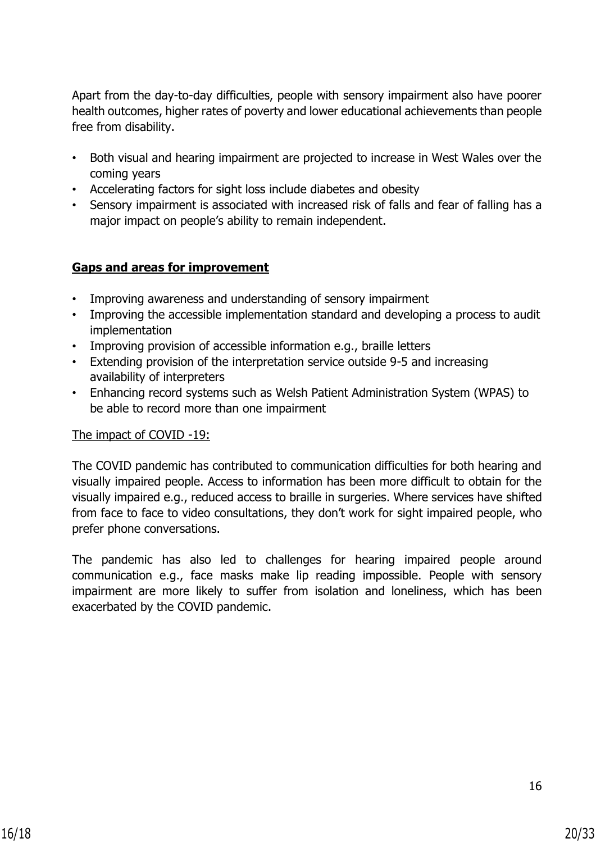Apart from the day-to-day difficulties, people with sensory impairment also have poorer health outcomes, higher rates of poverty and lower educational achievements than people free from disability.

- Both visual and hearing impairment are projected to increase in West Wales over the coming years
- Accelerating factors for sight loss include diabetes and obesity
- Sensory impairment is associated with increased risk of falls and fear of falling has a major impact on people's ability to remain independent.

## **Gaps and areas for improvement**

- Improving awareness and understanding of sensory impairment
- Improving the accessible implementation standard and developing a process to audit implementation
- Improving provision of accessible information e.g., braille letters
- Extending provision of the interpretation service outside 9-5 and increasing availability of interpreters
- Enhancing record systems such as Welsh Patient Administration System (WPAS) to be able to record more than one impairment

#### The impact of COVID -19:

The COVID pandemic has contributed to communication difficulties for both hearing and visually impaired people. Access to information has been more difficult to obtain for the visually impaired e.g., reduced access to braille in surgeries. Where services have shifted from face to face to video consultations, they don't work for sight impaired people, who prefer phone conversations.

The pandemic has also led to challenges for hearing impaired people around communication e.g., face masks make lip reading impossible. People with sensory impairment are more likely to suffer from isolation and loneliness, which has been exacerbated by the COVID pandemic.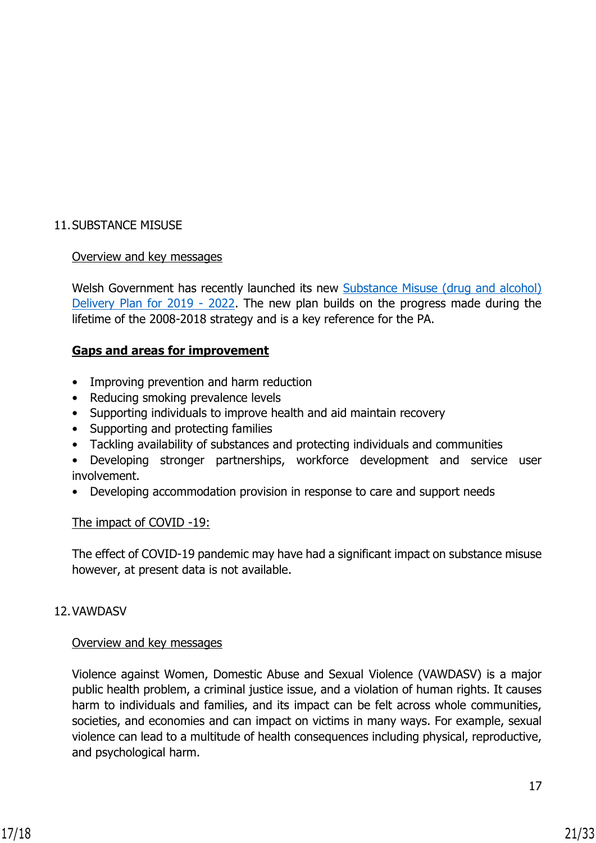# 11.SUBSTANCE MISUSE

# Overview and key messages

Welsh Government has recently launched its new [Substance Misuse \(drug and alcohol\)](https://gov.wales/substance-misuse-delivery-plan-2019-2022-0)  [Delivery Plan for 2019 -](https://gov.wales/substance-misuse-delivery-plan-2019-2022-0) 2022. The new plan builds on the progress made during the lifetime of the 2008-2018 strategy and is a key reference for the PA.

## **Gaps and areas for improvement**

- Improving prevention and harm reduction
- Reducing smoking prevalence levels
- Supporting individuals to improve health and aid maintain recovery
- Supporting and protecting families
- Tackling availability of substances and protecting individuals and communities
- Developing stronger partnerships, workforce development and service user involvement.
- Developing accommodation provision in response to care and support needs

#### The impact of COVID -19:

The effect of COVID-19 pandemic may have had a significant impact on substance misuse however, at present data is not available.

#### 12.VAWDASV

#### Overview and key messages

Violence against Women, Domestic Abuse and Sexual Violence (VAWDASV) is a major public health problem, a criminal justice issue, and a violation of human rights. It causes harm to individuals and families, and its impact can be felt across whole communities, societies, and economies and can impact on victims in many ways. For example, sexual violence can lead to a multitude of health consequences including physical, reproductive, and psychological harm.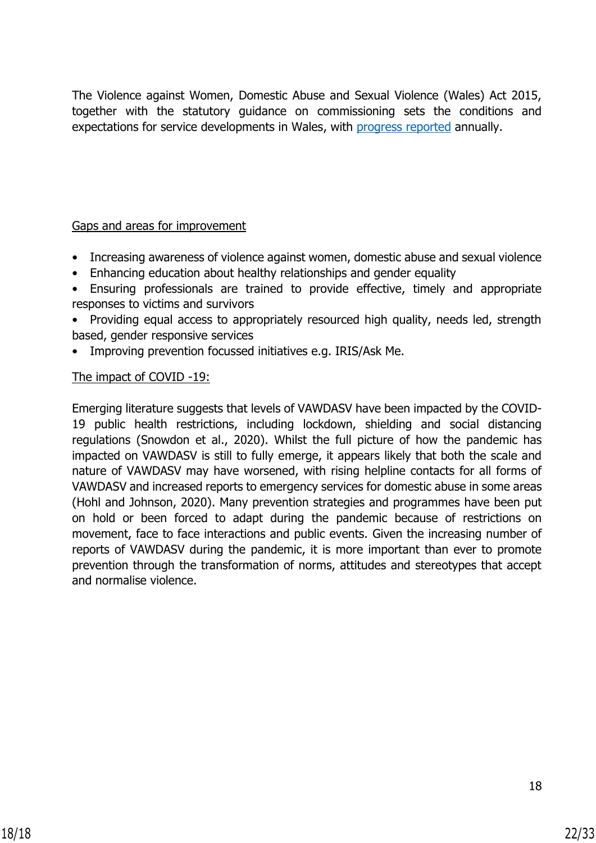The Violence against Women, Domestic Abuse and Sexual Violence (Wales) Act 2015, together with the statutory guidance on commissioning sets the conditions and expectations for service developments in Wales, with [progress reported](https://gov.wales/violence-against-women-domestic-abuse-and-sexual-violence-progress-report-2019-2020-html) annually.

## Gaps and areas for improvement

- Increasing awareness of violence against women, domestic abuse and sexual violence
- Enhancing education about healthy relationships and gender equality
- Ensuring professionals are trained to provide effective, timely and appropriate responses to victims and survivors
- Providing equal access to appropriately resourced high quality, needs led, strength based, gender responsive services
- Improving prevention focussed initiatives e.g. IRIS/Ask Me.

#### The impact of COVID -19:

Emerging literature suggests that levels of VAWDASV have been impacted by the COVID-19 public health restrictions, including lockdown, shielding and social distancing regulations (Snowdon et al., 2020). Whilst the full picture of how the pandemic has impacted on VAWDASV is still to fully emerge, it appears likely that both the scale and nature of VAWDASV may have worsened, with rising helpline contacts for all forms of VAWDASV and increased reports to emergency services for domestic abuse in some areas (Hohl and Johnson, 2020). Many prevention strategies and programmes have been put on hold or been forced to adapt during the pandemic because of restrictions on movement, face to face interactions and public events. Given the increasing number of reports of VAWDASV during the pandemic, it is more important than ever to promote prevention through the transformation of norms, attitudes and stereotypes that accept and normalise violence.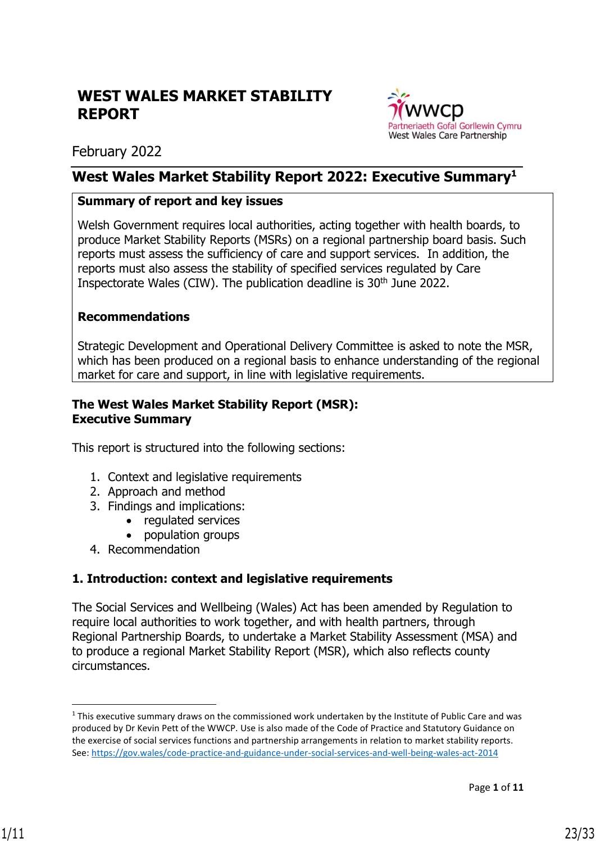# **WEST WALES MARKET STABILITY REPORT**



February 2022

# **West Wales Market Stability Report 2022: Executive Summary<sup>1</sup>**

# **Summary of report and key issues**

Welsh Government requires local authorities, acting together with health boards, to produce Market Stability Reports (MSRs) on a regional partnership board basis. Such reports must assess the sufficiency of care and support services. In addition, the reports must also assess the stability of specified services regulated by Care Inspectorate Wales (CIW). The publication deadline is 30<sup>th</sup> June 2022.

# **Recommendations**

Strategic Development and Operational Delivery Committee is asked to note the MSR, which has been produced on a regional basis to enhance understanding of the regional market for care and support, in line with legislative requirements.

#### **The West Wales Market Stability Report (MSR): Executive Summary**

This report is structured into the following sections:

- 1. Context and legislative requirements
- 2. Approach and method
- 3. Findings and implications:
	- regulated services
		- population groups
- 4. Recommendation

# **1. Introduction: context and legislative requirements**

The Social Services and Wellbeing (Wales) Act has been amended by Regulation to require local authorities to work together, and with health partners, through Regional Partnership Boards, to undertake a Market Stability Assessment (MSA) and to produce a regional Market Stability Report (MSR), which also reflects county circumstances.

 $1$  This executive summary draws on the commissioned work undertaken by the Institute of Public Care and was produced by Dr Kevin Pett of the WWCP. Use is also made of the Code of Practice and Statutory Guidance on the exercise of social services functions and partnership arrangements in relation to market stability reports. See[: https://gov.wales/code-practice-and-guidance-under-social-services-and-well-being-wales-act-2014](https://gov.wales/code-practice-and-guidance-under-social-services-and-well-being-wales-act-2014)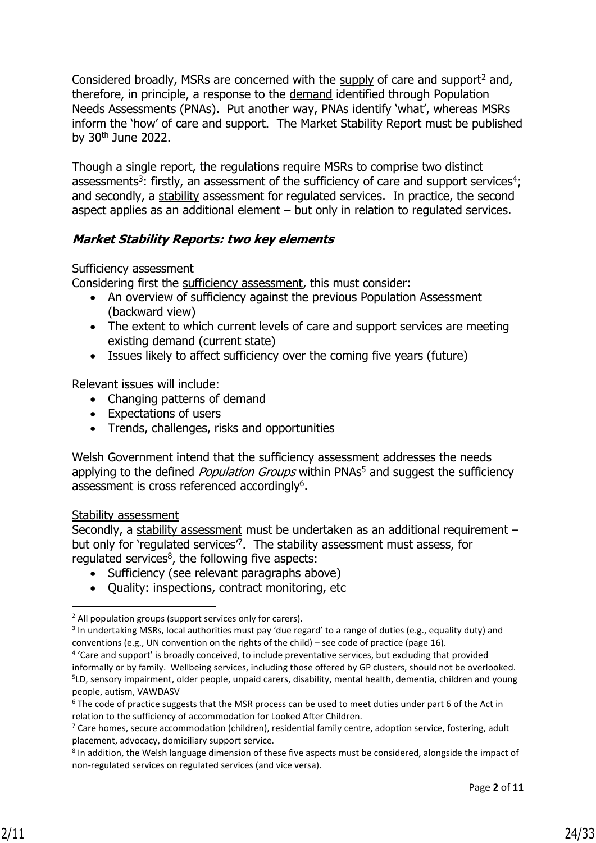Considered broadly, MSRs are concerned with the supply of care and support<sup>2</sup> and, therefore, in principle, a response to the demand identified through Population Needs Assessments (PNAs). Put another way, PNAs identify 'what', whereas MSRs inform the 'how' of care and support. The Market Stability Report must be published by 30<sup>th</sup> June 2022.

Though a single report, the regulations require MSRs to comprise two distinct assessments<sup>3</sup>: firstly, an assessment of the sufficiency of care and support services<sup>4</sup>; and secondly, a stability assessment for regulated services. In practice, the second aspect applies as an additional element – but only in relation to regulated services.

# **Market Stability Reports: two key elements**

#### Sufficiency assessment

Considering first the sufficiency assessment, this must consider:

- An overview of sufficiency against the previous Population Assessment (backward view)
- The extent to which current levels of care and support services are meeting existing demand (current state)
- Issues likely to affect sufficiency over the coming five years (future)

Relevant issues will include:

- Changing patterns of demand
- Expectations of users
- Trends, challenges, risks and opportunities

Welsh Government intend that the sufficiency assessment addresses the needs applying to the defined *Population Groups* within PNAs<sup>5</sup> and suggest the sufficiency assessment is cross referenced accordingly<sup>6</sup>.

#### Stability assessment

Secondly, a stability assessment must be undertaken as an additional requirement but only for 'regulated services<sup>7</sup>. The stability assessment must assess, for regulated services $8$ , the following five aspects:

- Sufficiency (see relevant paragraphs above)
- Quality: inspections, contract monitoring, etc

 $<sup>2</sup>$  All population groups (support services only for carers).</sup>

<sup>&</sup>lt;sup>3</sup> In undertaking MSRs, local authorities must pay 'due regard' to a range of duties (e.g., equality duty) and conventions (e.g., UN convention on the rights of the child) – see code of practice (page 16).

<sup>&</sup>lt;sup>4</sup> 'Care and support' is broadly conceived, to include preventative services, but excluding that provided informally or by family. Wellbeing services, including those offered by GP clusters, should not be overlooked. 5 LD, sensory impairment, older people, unpaid carers, disability, mental health, dementia, children and young people, autism, VAWDASV

<sup>&</sup>lt;sup>6</sup> The code of practice suggests that the MSR process can be used to meet duties under part 6 of the Act in relation to the sufficiency of accommodation for Looked After Children.

 $7$  Care homes, secure accommodation (children), residential family centre, adoption service, fostering, adult placement, advocacy, domiciliary support service.

<sup>&</sup>lt;sup>8</sup> In addition, the Welsh language dimension of these five aspects must be considered, alongside the impact of non-regulated services on regulated services (and vice versa).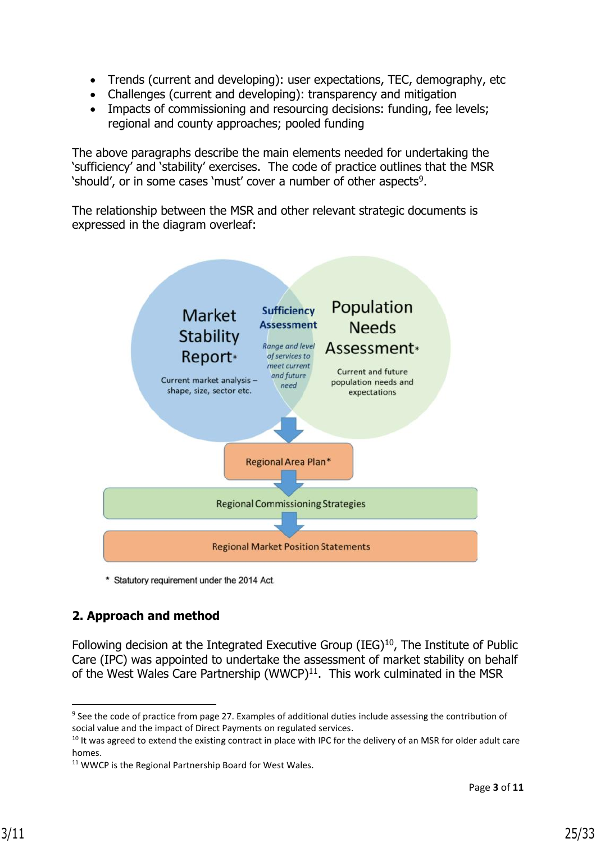- Trends (current and developing): user expectations, TEC, demography, etc
- Challenges (current and developing): transparency and mitigation
- Impacts of commissioning and resourcing decisions: funding, fee levels; regional and county approaches; pooled funding

The above paragraphs describe the main elements needed for undertaking the 'sufficiency' and 'stability' exercises. The code of practice outlines that the MSR 'should', or in some cases 'must' cover a number of other aspects<sup>9</sup>.

The relationship between the MSR and other relevant strategic documents is expressed in the diagram overleaf:



\* Statutory requirement under the 2014 Act.

# **2. Approach and method**

Following decision at the Integrated Executive Group (IEG) $10$ , The Institute of Public Care (IPC) was appointed to undertake the assessment of market stability on behalf of the West Wales Care Partnership (WWCP) $11$ . This work culminated in the MSR

<sup>&</sup>lt;sup>9</sup> See the code of practice from page 27. Examples of additional duties include assessing the contribution of social value and the impact of Direct Payments on regulated services.

<sup>&</sup>lt;sup>10</sup> It was agreed to extend the existing contract in place with IPC for the delivery of an MSR for older adult care homes.

<sup>&</sup>lt;sup>11</sup> WWCP is the Regional Partnership Board for West Wales.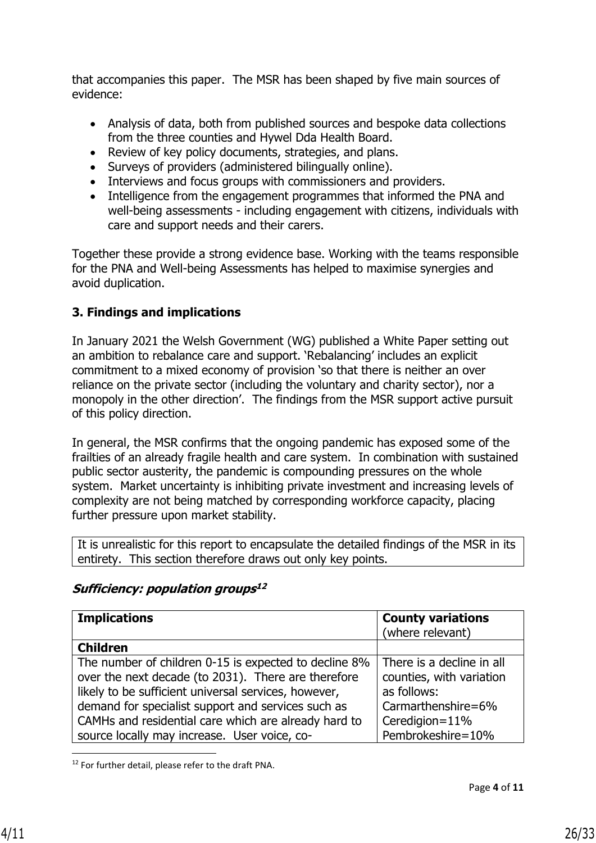that accompanies this paper. The MSR has been shaped by five main sources of evidence:

- Analysis of data, both from published sources and bespoke data collections from the three counties and Hywel Dda Health Board.
- Review of key policy documents, strategies, and plans.
- Surveys of providers (administered bilingually online).
- Interviews and focus groups with commissioners and providers.
- Intelligence from the engagement programmes that informed the PNA and well-being assessments - including engagement with citizens, individuals with care and support needs and their carers.

Together these provide a strong evidence base. Working with the teams responsible for the PNA and Well-being Assessments has helped to maximise synergies and avoid duplication.

# **3. Findings and implications**

In January 2021 the Welsh Government (WG) published a White Paper setting out an ambition to rebalance care and support. 'Rebalancing' includes an explicit commitment to a mixed economy of provision 'so that there is neither an over reliance on the private sector (including the voluntary and charity sector), nor a monopoly in the other direction'. The findings from the MSR support active pursuit of this policy direction.

In general, the MSR confirms that the ongoing pandemic has exposed some of the frailties of an already fragile health and care system. In combination with sustained public sector austerity, the pandemic is compounding pressures on the whole system. Market uncertainty is inhibiting private investment and increasing levels of complexity are not being matched by corresponding workforce capacity, placing further pressure upon market stability.

It is unrealistic for this report to encapsulate the detailed findings of the MSR in its entirety. This section therefore draws out only key points.

| <b>Implications</b>                                                                                                                                                                                                                                                                                                                | <b>County variations</b><br>(where relevant)                                                                                      |
|------------------------------------------------------------------------------------------------------------------------------------------------------------------------------------------------------------------------------------------------------------------------------------------------------------------------------------|-----------------------------------------------------------------------------------------------------------------------------------|
| <b>Children</b>                                                                                                                                                                                                                                                                                                                    |                                                                                                                                   |
| The number of children 0-15 is expected to decline 8%<br>over the next decade (to 2031). There are therefore<br>likely to be sufficient universal services, however,<br>demand for specialist support and services such as<br>CAMHs and residential care which are already hard to<br>source locally may increase. User voice, co- | There is a decline in all<br>counties, with variation<br>as follows:<br>Carmarthenshire=6%<br>Ceredigion=11%<br>Pembrokeshire=10% |

# **Sufficiency: population groups 12**

<sup>12</sup> For further detail, please refer to the draft PNA.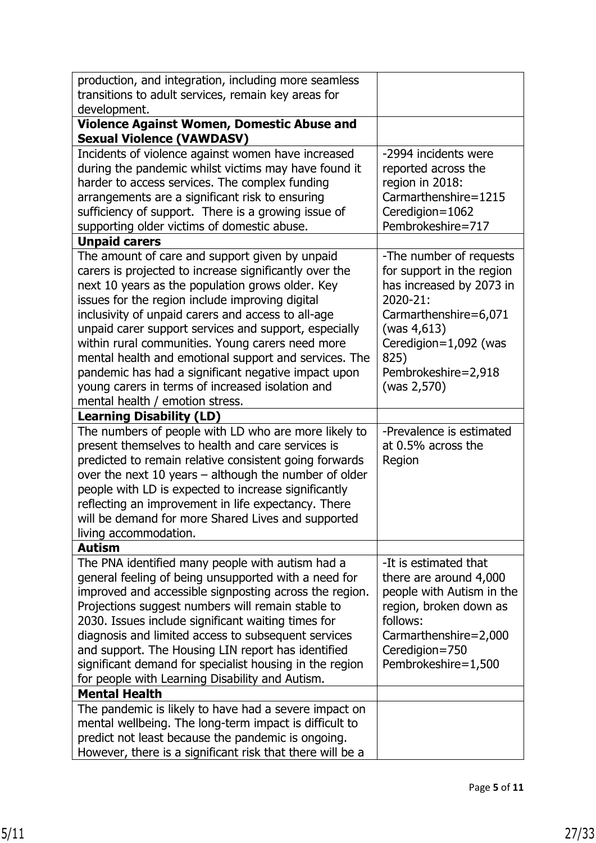| production, and integration, including more seamless                                                            |                                      |
|-----------------------------------------------------------------------------------------------------------------|--------------------------------------|
| transitions to adult services, remain key areas for                                                             |                                      |
| development.                                                                                                    |                                      |
| Violence Against Women, Domestic Abuse and                                                                      |                                      |
| <b>Sexual Violence (VAWDASV)</b>                                                                                |                                      |
| Incidents of violence against women have increased                                                              | -2994 incidents were                 |
| during the pandemic whilst victims may have found it                                                            | reported across the                  |
| harder to access services. The complex funding                                                                  | region in 2018:                      |
| arrangements are a significant risk to ensuring                                                                 | Carmarthenshire=1215                 |
| sufficiency of support. There is a growing issue of                                                             | Ceredigion=1062                      |
| supporting older victims of domestic abuse.                                                                     | Pembrokeshire=717                    |
| <b>Unpaid carers</b>                                                                                            |                                      |
| The amount of care and support given by unpaid                                                                  | -The number of requests              |
| carers is projected to increase significantly over the                                                          | for support in the region            |
| next 10 years as the population grows older. Key                                                                | has increased by 2073 in             |
| issues for the region include improving digital                                                                 | 2020-21:                             |
| inclusivity of unpaid carers and access to all-age                                                              | Carmarthenshire=6,071                |
| unpaid carer support services and support, especially<br>within rural communities. Young carers need more       | (was 4,613)<br>Ceredigion=1,092 (was |
| mental health and emotional support and services. The                                                           | 825)                                 |
| pandemic has had a significant negative impact upon                                                             | Pembrokeshire=2,918                  |
| young carers in terms of increased isolation and                                                                | (was 2,570)                          |
| mental health / emotion stress.                                                                                 |                                      |
| <b>Learning Disability (LD)</b>                                                                                 |                                      |
| The numbers of people with LD who are more likely to                                                            | -Prevalence is estimated             |
| present themselves to health and care services is                                                               | at 0.5% across the                   |
| predicted to remain relative consistent going forwards                                                          | Region                               |
| over the next 10 years - although the number of older                                                           |                                      |
| people with LD is expected to increase significantly                                                            |                                      |
| reflecting an improvement in life expectancy. There                                                             |                                      |
| will be demand for more Shared Lives and supported                                                              |                                      |
| living accommodation.                                                                                           |                                      |
| <b>Autism</b>                                                                                                   |                                      |
| The PNA identified many people with autism had a                                                                | -It is estimated that                |
| general feeling of being unsupported with a need for                                                            | there are around 4,000               |
| improved and accessible signposting across the region.                                                          | people with Autism in the            |
| Projections suggest numbers will remain stable to                                                               | region, broken down as               |
| 2030. Issues include significant waiting times for                                                              | follows:                             |
| diagnosis and limited access to subsequent services                                                             | Carmarthenshire=2,000                |
| and support. The Housing LIN report has identified                                                              | Ceredigion=750                       |
| significant demand for specialist housing in the region                                                         | Pembrokeshire=1,500                  |
| for people with Learning Disability and Autism.                                                                 |                                      |
| <b>Mental Health</b>                                                                                            |                                      |
| The pandemic is likely to have had a severe impact on                                                           |                                      |
| mental wellbeing. The long-term impact is difficult to                                                          |                                      |
| predict not least because the pandemic is ongoing.<br>However, there is a significant risk that there will be a |                                      |
|                                                                                                                 |                                      |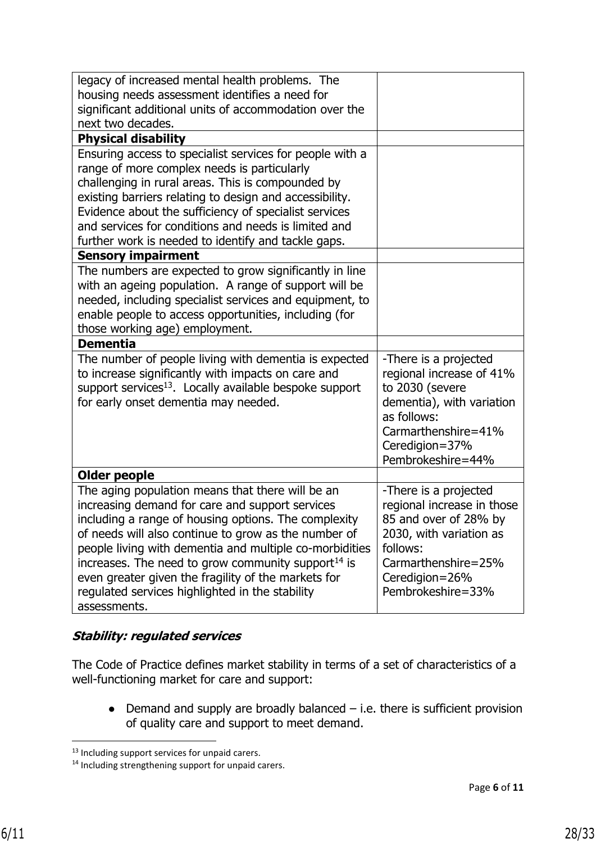| legacy of increased mental health problems. The<br>housing needs assessment identifies a need for<br>significant additional units of accommodation over the<br>next two decades.                                                                                                                                                                                                                                                                                     |                                                                                                                                                                                   |
|----------------------------------------------------------------------------------------------------------------------------------------------------------------------------------------------------------------------------------------------------------------------------------------------------------------------------------------------------------------------------------------------------------------------------------------------------------------------|-----------------------------------------------------------------------------------------------------------------------------------------------------------------------------------|
| <b>Physical disability</b>                                                                                                                                                                                                                                                                                                                                                                                                                                           |                                                                                                                                                                                   |
| Ensuring access to specialist services for people with a<br>range of more complex needs is particularly<br>challenging in rural areas. This is compounded by<br>existing barriers relating to design and accessibility.<br>Evidence about the sufficiency of specialist services<br>and services for conditions and needs is limited and<br>further work is needed to identify and tackle gaps.                                                                      |                                                                                                                                                                                   |
| <b>Sensory impairment</b>                                                                                                                                                                                                                                                                                                                                                                                                                                            |                                                                                                                                                                                   |
| The numbers are expected to grow significantly in line<br>with an ageing population. A range of support will be<br>needed, including specialist services and equipment, to<br>enable people to access opportunities, including (for<br>those working age) employment.                                                                                                                                                                                                |                                                                                                                                                                                   |
| <b>Dementia</b>                                                                                                                                                                                                                                                                                                                                                                                                                                                      |                                                                                                                                                                                   |
| The number of people living with dementia is expected<br>to increase significantly with impacts on care and<br>support services <sup>13</sup> . Locally available bespoke support<br>for early onset dementia may needed.                                                                                                                                                                                                                                            | -There is a projected<br>regional increase of 41%<br>to 2030 (severe<br>dementia), with variation<br>as follows:<br>Carmarthenshire=41%<br>Ceredigion=37%<br>Pembrokeshire=44%    |
| <b>Older people</b>                                                                                                                                                                                                                                                                                                                                                                                                                                                  |                                                                                                                                                                                   |
| The aging population means that there will be an<br>increasing demand for care and support services<br>including a range of housing options. The complexity<br>of needs will also continue to grow as the number of<br>people living with dementia and multiple co-morbidities<br>increases. The need to grow community support $^{14}$ is<br>even greater given the fragility of the markets for<br>regulated services highlighted in the stability<br>assessments. | -There is a projected<br>regional increase in those<br>85 and over of 28% by<br>2030, with variation as<br>follows:<br>Carmarthenshire=25%<br>Ceredigion=26%<br>Pembrokeshire=33% |

# **Stability: regulated services**

The Code of Practice defines market stability in terms of a set of characteristics of a well-functioning market for care and support:

 $\bullet$  Demand and supply are broadly balanced  $-$  i.e. there is sufficient provision of quality care and support to meet demand.

<sup>&</sup>lt;sup>13</sup> Including support services for unpaid carers.

<sup>14</sup> Including strengthening support for unpaid carers.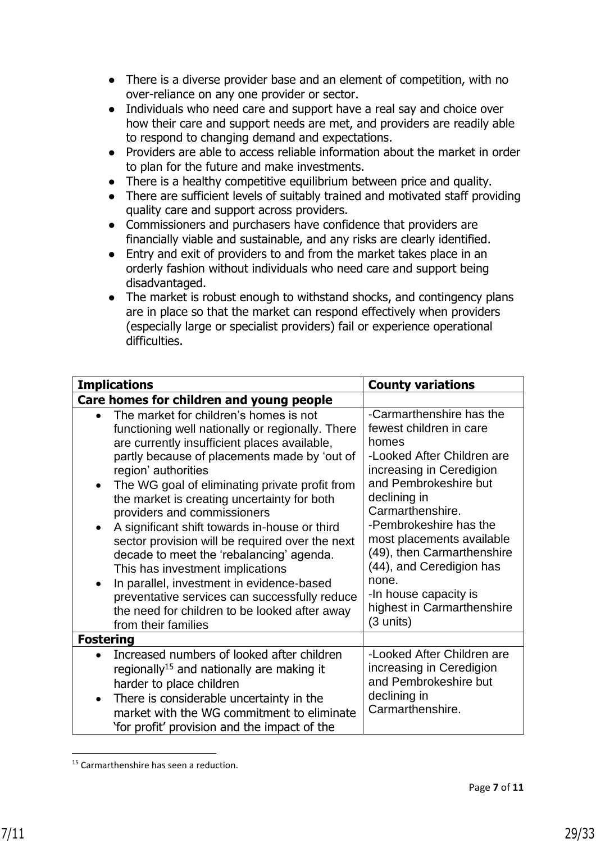- There is a diverse provider base and an element of competition, with no over-reliance on any one provider or sector.
- Individuals who need care and support have a real say and choice over how their care and support needs are met, and providers are readily able to respond to changing demand and expectations.
- Providers are able to access reliable information about the market in order to plan for the future and make investments.
- There is a healthy competitive equilibrium between price and quality.
- There are sufficient levels of suitably trained and motivated staff providing quality care and support across providers.
- Commissioners and purchasers have confidence that providers are financially viable and sustainable, and any risks are clearly identified.
- Entry and exit of providers to and from the market takes place in an orderly fashion without individuals who need care and support being disadvantaged.
- The market is robust enough to withstand shocks, and contingency plans are in place so that the market can respond effectively when providers (especially large or specialist providers) fail or experience operational difficulties.

| <b>Implications</b>                                                                                                                                                                                                                                                                                                                                                                                                                                                                                                                                                                                                                                                                                                                   | <b>County variations</b>                                                                                                                                                                                                                                                                                                                                                          |
|---------------------------------------------------------------------------------------------------------------------------------------------------------------------------------------------------------------------------------------------------------------------------------------------------------------------------------------------------------------------------------------------------------------------------------------------------------------------------------------------------------------------------------------------------------------------------------------------------------------------------------------------------------------------------------------------------------------------------------------|-----------------------------------------------------------------------------------------------------------------------------------------------------------------------------------------------------------------------------------------------------------------------------------------------------------------------------------------------------------------------------------|
| Care homes for children and young people                                                                                                                                                                                                                                                                                                                                                                                                                                                                                                                                                                                                                                                                                              |                                                                                                                                                                                                                                                                                                                                                                                   |
| The market for children's homes is not<br>functioning well nationally or regionally. There<br>are currently insufficient places available,<br>partly because of placements made by 'out of<br>region' authorities<br>The WG goal of eliminating private profit from<br>$\bullet$<br>the market is creating uncertainty for both<br>providers and commissioners<br>A significant shift towards in-house or third<br>$\bullet$<br>sector provision will be required over the next<br>decade to meet the 'rebalancing' agenda.<br>This has investment implications<br>In parallel, investment in evidence-based<br>preventative services can successfully reduce<br>the need for children to be looked after away<br>from their families | -Carmarthenshire has the<br>fewest children in care<br>homes<br>-Looked After Children are<br>increasing in Ceredigion<br>and Pembrokeshire but<br>declining in<br>Carmarthenshire.<br>-Pembrokeshire has the<br>most placements available<br>(49), then Carmarthenshire<br>(44), and Ceredigion has<br>none.<br>-In house capacity is<br>highest in Carmarthenshire<br>(3 units) |
| <b>Fostering</b>                                                                                                                                                                                                                                                                                                                                                                                                                                                                                                                                                                                                                                                                                                                      |                                                                                                                                                                                                                                                                                                                                                                                   |
| Increased numbers of looked after children<br>regionally <sup>15</sup> and nationally are making it<br>harder to place children<br>There is considerable uncertainty in the<br>market with the WG commitment to eliminate<br>'for profit' provision and the impact of the                                                                                                                                                                                                                                                                                                                                                                                                                                                             | -Looked After Children are<br>increasing in Ceredigion<br>and Pembrokeshire but<br>declining in<br>Carmarthenshire.                                                                                                                                                                                                                                                               |

<sup>&</sup>lt;sup>15</sup> Carmarthenshire has seen a reduction.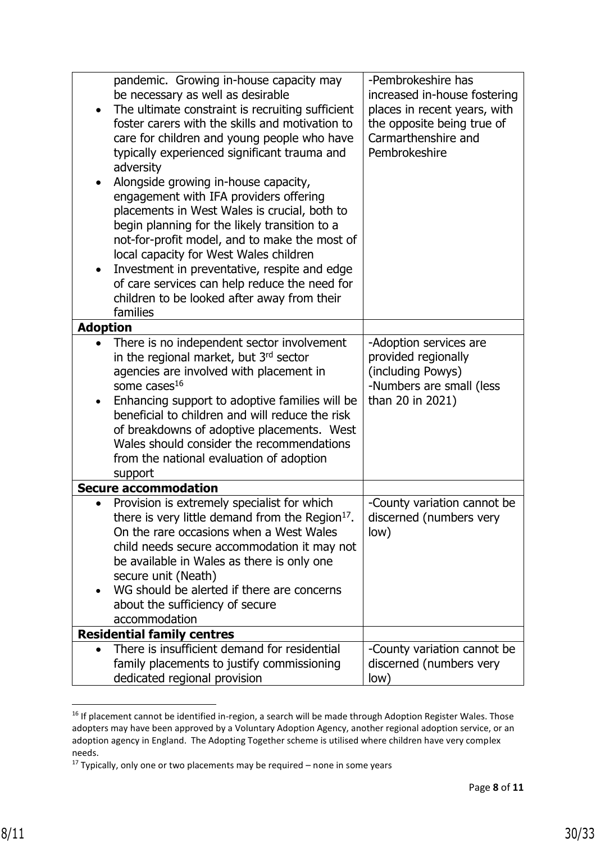|                 | pandemic. Growing in-house capacity may<br>be necessary as well as desirable<br>The ultimate constraint is recruiting sufficient<br>foster carers with the skills and motivation to<br>care for children and young people who have<br>typically experienced significant trauma and<br>adversity<br>Alongside growing in-house capacity,                                                                   | -Pembrokeshire has<br>increased in-house fostering<br>places in recent years, with<br>the opposite being true of<br>Carmarthenshire and<br>Pembrokeshire |
|-----------------|-----------------------------------------------------------------------------------------------------------------------------------------------------------------------------------------------------------------------------------------------------------------------------------------------------------------------------------------------------------------------------------------------------------|----------------------------------------------------------------------------------------------------------------------------------------------------------|
|                 | engagement with IFA providers offering<br>placements in West Wales is crucial, both to<br>begin planning for the likely transition to a<br>not-for-profit model, and to make the most of<br>local capacity for West Wales children<br>Investment in preventative, respite and edge<br>of care services can help reduce the need for<br>children to be looked after away from their<br>families            |                                                                                                                                                          |
| <b>Adoption</b> |                                                                                                                                                                                                                                                                                                                                                                                                           |                                                                                                                                                          |
|                 | There is no independent sector involvement<br>in the regional market, but 3rd sector<br>agencies are involved with placement in<br>some cases $16$<br>Enhancing support to adoptive families will be<br>beneficial to children and will reduce the risk<br>of breakdowns of adoptive placements. West<br>Wales should consider the recommendations<br>from the national evaluation of adoption<br>support | -Adoption services are<br>provided regionally<br>(including Powys)<br>-Numbers are small (less<br>than 20 in 2021)                                       |
|                 | <b>Secure accommodation</b>                                                                                                                                                                                                                                                                                                                                                                               |                                                                                                                                                          |
|                 | Provision is extremely specialist for which<br>there is very little demand from the Region <sup>17</sup> .<br>On the rare occasions when a West Wales<br>child needs secure accommodation it may not<br>be available in Wales as there is only one<br>secure unit (Neath)<br>WG should be alerted if there are concerns<br>about the sufficiency of secure<br>accommodation                               | -County variation cannot be<br>discerned (numbers very<br>low)                                                                                           |
|                 | <b>Residential family centres</b>                                                                                                                                                                                                                                                                                                                                                                         |                                                                                                                                                          |
|                 | There is insufficient demand for residential<br>family placements to justify commissioning<br>dedicated regional provision                                                                                                                                                                                                                                                                                | -County variation cannot be<br>discerned (numbers very<br>low)                                                                                           |

<sup>&</sup>lt;sup>16</sup> If placement cannot be identified in-region, a search will be made through Adoption Register Wales. Those adopters may have been approved by a Voluntary Adoption Agency, another regional adoption service, or an adoption agency in England. The Adopting Together scheme is utilised where children have very complex needs.

 $17$  Typically, only one or two placements may be required – none in some years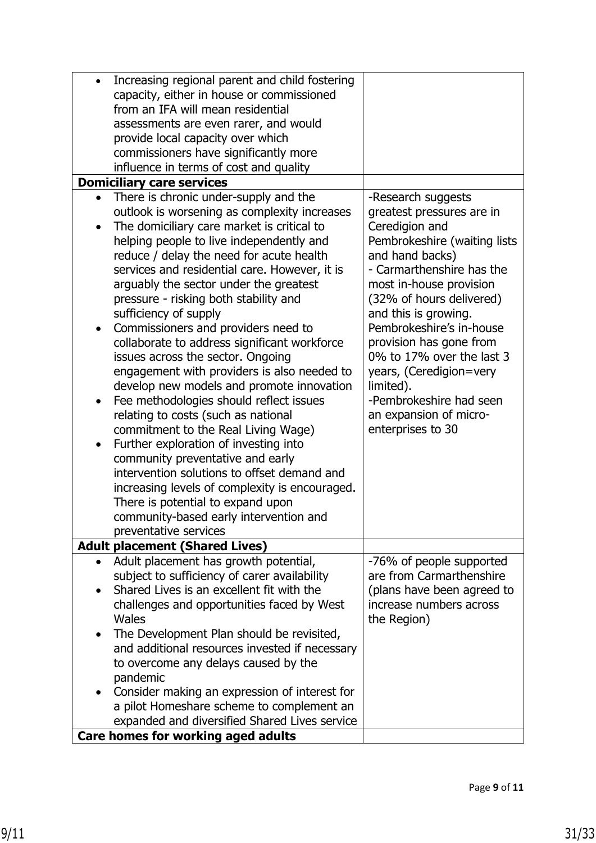| $\bullet$ | Increasing regional parent and child fostering |                              |
|-----------|------------------------------------------------|------------------------------|
|           | capacity, either in house or commissioned      |                              |
|           | from an IFA will mean residential              |                              |
|           | assessments are even rarer, and would          |                              |
|           | provide local capacity over which              |                              |
|           | commissioners have significantly more          |                              |
|           | influence in terms of cost and quality         |                              |
|           | <b>Domiciliary care services</b>               |                              |
|           | There is chronic under-supply and the          | -Research suggests           |
|           | outlook is worsening as complexity increases   | greatest pressures are in    |
| $\bullet$ | The domiciliary care market is critical to     | Ceredigion and               |
|           |                                                |                              |
|           | helping people to live independently and       | Pembrokeshire (waiting lists |
|           | reduce / delay the need for acute health       | and hand backs)              |
|           | services and residential care. However, it is  | - Carmarthenshire has the    |
|           | arguably the sector under the greatest         | most in-house provision      |
|           | pressure - risking both stability and          | (32% of hours delivered)     |
|           | sufficiency of supply                          | and this is growing.         |
| $\bullet$ | Commissioners and providers need to            | Pembrokeshire's in-house     |
|           | collaborate to address significant workforce   | provision has gone from      |
|           | issues across the sector. Ongoing              | 0% to 17% over the last 3    |
|           | engagement with providers is also needed to    | years, (Ceredigion=very      |
|           | develop new models and promote innovation      | limited).                    |
| $\bullet$ | Fee methodologies should reflect issues        | -Pembrokeshire had seen      |
|           | relating to costs (such as national            | an expansion of micro-       |
|           | commitment to the Real Living Wage)            | enterprises to 30            |
|           | Further exploration of investing into          |                              |
|           | community preventative and early               |                              |
|           | intervention solutions to offset demand and    |                              |
|           | increasing levels of complexity is encouraged. |                              |
|           | There is potential to expand upon              |                              |
|           | community-based early intervention and         |                              |
|           | preventative services                          |                              |
|           | <b>Adult placement (Shared Lives)</b>          |                              |
| $\bullet$ | Adult placement has growth potential,          | -76% of people supported     |
|           | subject to sufficiency of carer availability   | are from Carmarthenshire     |
|           | Shared Lives is an excellent fit with the      | (plans have been agreed to   |
|           | challenges and opportunities faced by West     | increase numbers across      |
|           | <b>Wales</b>                                   | the Region)                  |
|           | The Development Plan should be revisited,      |                              |
|           | and additional resources invested if necessary |                              |
|           | to overcome any delays caused by the           |                              |
|           | pandemic                                       |                              |
|           | Consider making an expression of interest for  |                              |
|           |                                                |                              |
|           | a pilot Homeshare scheme to complement an      |                              |
|           | expanded and diversified Shared Lives service  |                              |
|           | Care homes for working aged adults             |                              |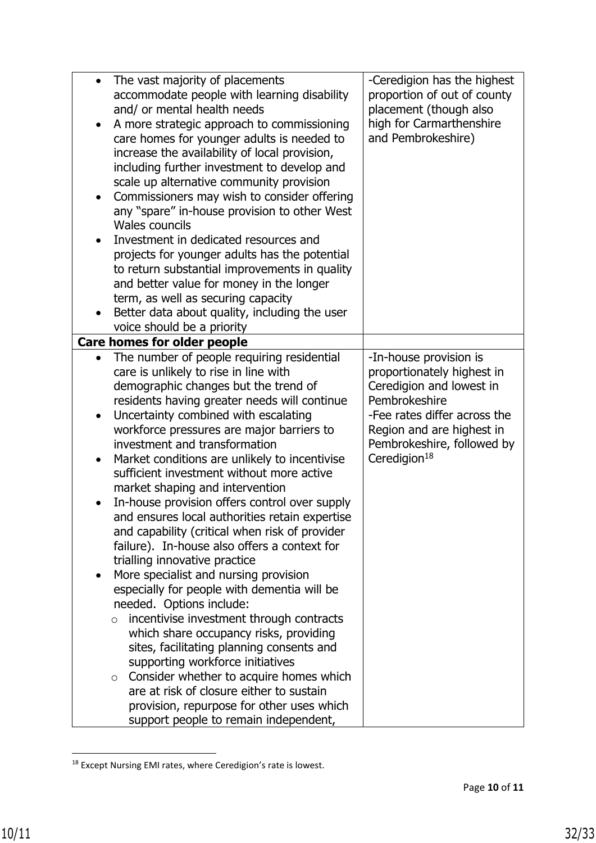| $\bullet$ | The vast majority of placements                     | -Ceredigion has the highest  |
|-----------|-----------------------------------------------------|------------------------------|
|           | accommodate people with learning disability         | proportion of out of county  |
|           | and/ or mental health needs                         | placement (though also       |
| ٠         | A more strategic approach to commissioning          | high for Carmarthenshire     |
|           | care homes for younger adults is needed to          | and Pembrokeshire)           |
|           | increase the availability of local provision,       |                              |
|           |                                                     |                              |
|           | including further investment to develop and         |                              |
|           | scale up alternative community provision            |                              |
|           | Commissioners may wish to consider offering         |                              |
|           | any "spare" in-house provision to other West        |                              |
|           | <b>Wales councils</b>                               |                              |
| $\bullet$ | Investment in dedicated resources and               |                              |
|           | projects for younger adults has the potential       |                              |
|           | to return substantial improvements in quality       |                              |
|           |                                                     |                              |
|           | and better value for money in the longer            |                              |
|           | term, as well as securing capacity                  |                              |
|           | Better data about quality, including the user       |                              |
|           | voice should be a priority                          |                              |
|           | <b>Care homes for older people</b>                  |                              |
|           | The number of people requiring residential          | -In-house provision is       |
|           | care is unlikely to rise in line with               | proportionately highest in   |
|           | demographic changes but the trend of                | Ceredigion and lowest in     |
|           | residents having greater needs will continue        | Pembrokeshire                |
| $\bullet$ | Uncertainty combined with escalating                | -Fee rates differ across the |
|           | workforce pressures are major barriers to           | Region and are highest in    |
|           | investment and transformation                       | Pembrokeshire, followed by   |
|           |                                                     |                              |
| $\bullet$ | Market conditions are unlikely to incentivise       | Ceredigion $18$              |
|           | sufficient investment without more active           |                              |
|           | market shaping and intervention                     |                              |
|           | In-house provision offers control over supply       |                              |
|           | and ensures local authorities retain expertise      |                              |
|           | and capability (critical when risk of provider      |                              |
|           | failure). In-house also offers a context for        |                              |
|           | trialling innovative practice                       |                              |
|           | More specialist and nursing provision               |                              |
|           | especially for people with dementia will be         |                              |
|           | needed. Options include:                            |                              |
|           | incentivise investment through contracts<br>$\circ$ |                              |
|           |                                                     |                              |
|           | which share occupancy risks, providing              |                              |
|           | sites, facilitating planning consents and           |                              |
|           | supporting workforce initiatives                    |                              |
|           | Consider whether to acquire homes which<br>$\circ$  |                              |
|           | are at risk of closure either to sustain            |                              |
|           | provision, repurpose for other uses which           |                              |
|           | support people to remain independent,               |                              |

<sup>18</sup> Except Nursing EMI rates, where Ceredigion's rate is lowest.